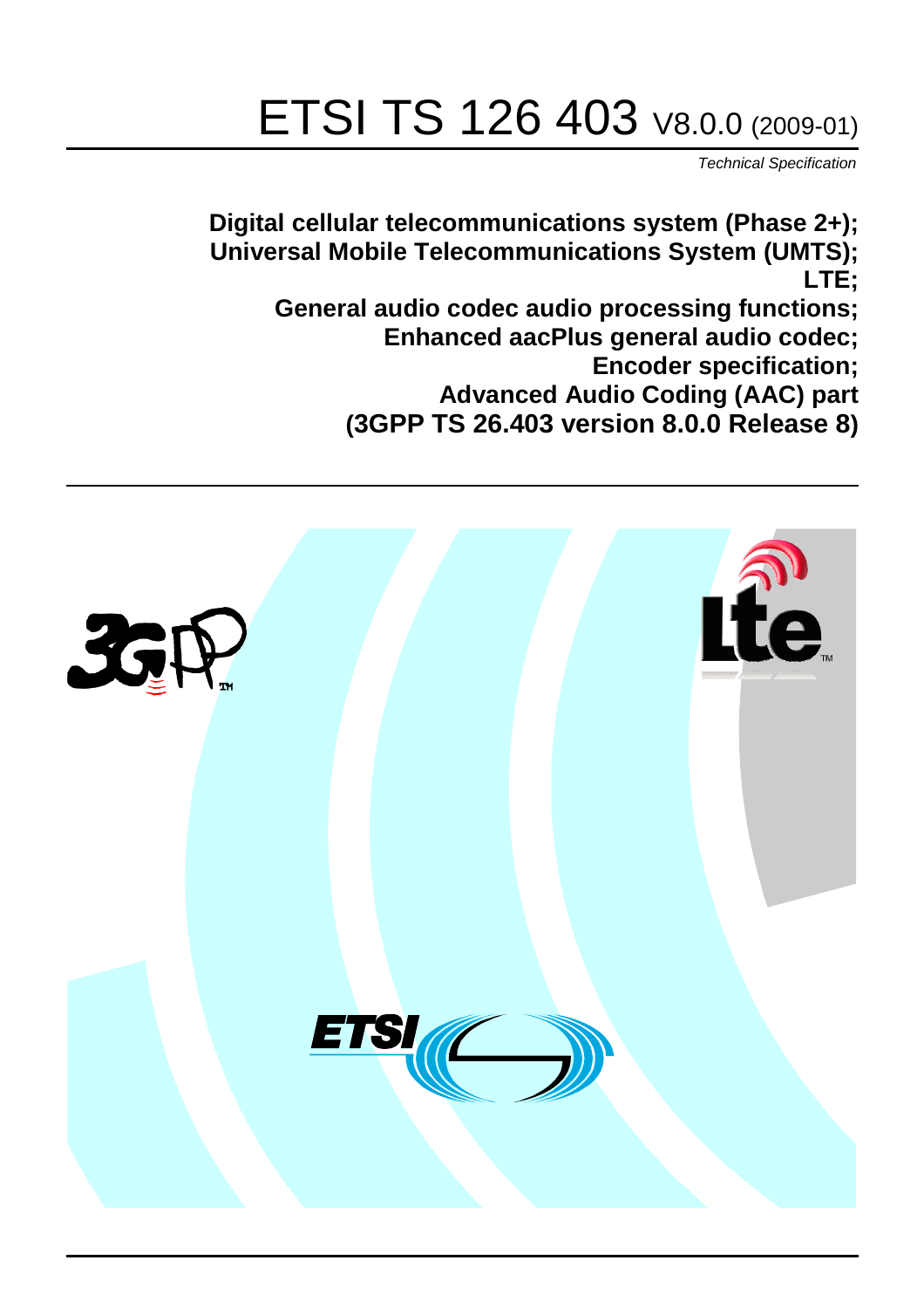# ETSI TS 126 403 V8.0.0 (2009-01)

*Technical Specification*

**Digital cellular telecommunications system (Phase 2+); Universal Mobile Telecommunications System (UMTS); LTE; General audio codec audio processing functions; Enhanced aacPlus general audio codec; Encoder specification; Advanced Audio Coding (AAC) part (3GPP TS 26.403 version 8.0.0 Release 8)**

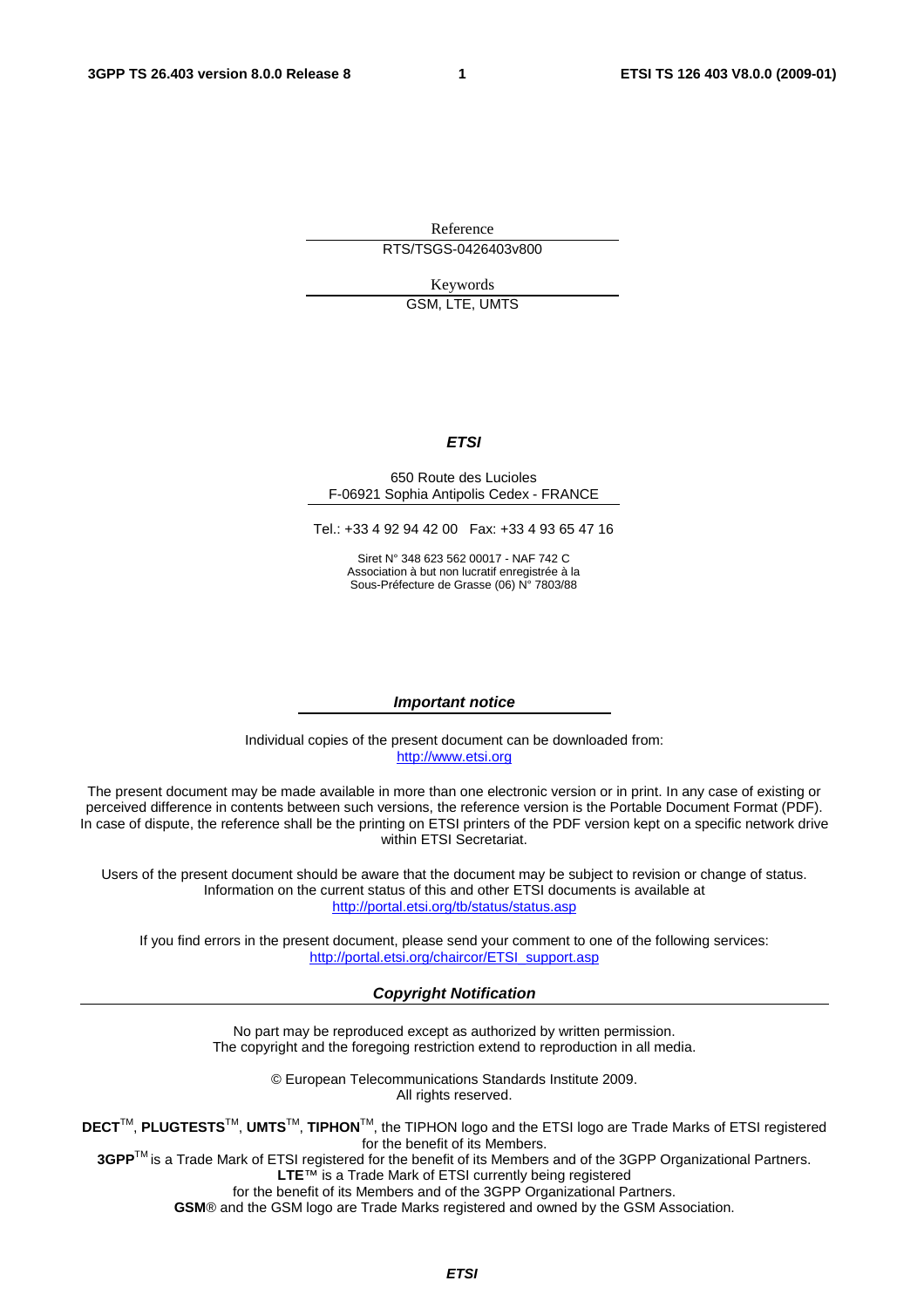Reference RTS/TSGS-0426403v800

> Keywords GSM, LTE, UMTS

> > *ETSI*

#### 650 Route des Lucioles F-06921 Sophia Antipolis Cedex - FRANCE

Tel.: +33 4 92 94 42 00 Fax: +33 4 93 65 47 16

Siret N° 348 623 562 00017 - NAF 742 C Association à but non lucratif enregistrée à la Sous-Préfecture de Grasse (06) N° 7803/88

#### *Important notice*

Individual copies of the present document can be downloaded from: [http://www.etsi.org](http://www.etsi.org/)

The present document may be made available in more than one electronic version or in print. In any case of existing or perceived difference in contents between such versions, the reference version is the Portable Document Format (PDF). In case of dispute, the reference shall be the printing on ETSI printers of the PDF version kept on a specific network drive within ETSI Secretariat.

Users of the present document should be aware that the document may be subject to revision or change of status. Information on the current status of this and other ETSI documents is available at <http://portal.etsi.org/tb/status/status.asp>

If you find errors in the present document, please send your comment to one of the following services: [http://portal.etsi.org/chaircor/ETSI\\_support.asp](http://portal.etsi.org/chaircor/ETSI_support.asp)

#### *Copyright Notification*

No part may be reproduced except as authorized by written permission. The copyright and the foregoing restriction extend to reproduction in all media.

> © European Telecommunications Standards Institute 2009. All rights reserved.

**DECT**TM, **PLUGTESTS**TM, **UMTS**TM, **TIPHON**TM, the TIPHON logo and the ETSI logo are Trade Marks of ETSI registered for the benefit of its Members.

**3GPP**TM is a Trade Mark of ETSI registered for the benefit of its Members and of the 3GPP Organizational Partners. **LTE**™ is a Trade Mark of ETSI currently being registered

for the benefit of its Members and of the 3GPP Organizational Partners.

**GSM**® and the GSM logo are Trade Marks registered and owned by the GSM Association.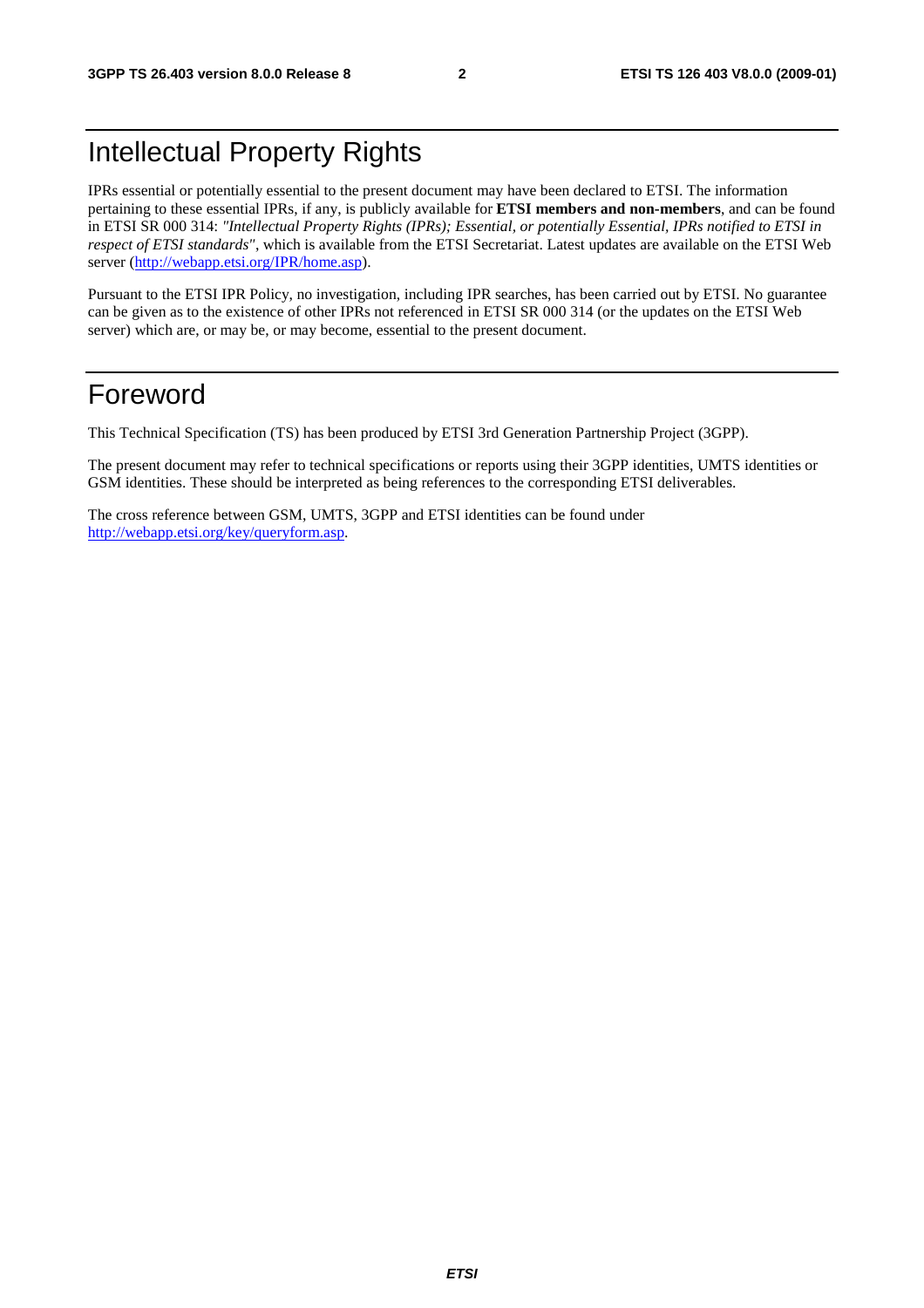### Intellectual Property Rights

IPRs essential or potentially essential to the present document may have been declared to ETSI. The information pertaining to these essential IPRs, if any, is publicly available for **ETSI members and non-members**, and can be found in ETSI SR 000 314: *"Intellectual Property Rights (IPRs); Essential, or potentially Essential, IPRs notified to ETSI in respect of ETSI standards"*, which is available from the ETSI Secretariat. Latest updates are available on the ETSI Web server (h[ttp://webapp.etsi.org/IPR/home.asp\).](http://webapp.etsi.org/IPR/home.asp)

Pursuant to the ETSI IPR Policy, no investigation, including IPR searches, has been carried out by ETSI. No guarantee can be given as to the existence of other IPRs not referenced in ETSI SR 000 314 (or the updates on the ETSI Web server) which are, or may be, or may become, essential to the present document.

### Foreword

This Technical Specification (TS) has been produced by ETSI 3rd Generation Partnership Project (3GPP).

The present document may refer to technical specifications or reports using their 3GPP identities, UMTS identities or GSM identities. These should be interpreted as being references to the corresponding ETSI deliverables.

The cross reference between GSM, UMTS, 3GPP and ETSI identities can be found under [http://webapp.etsi.org/key/queryform.asp.](http://webapp.etsi.org/key/queryform.asp)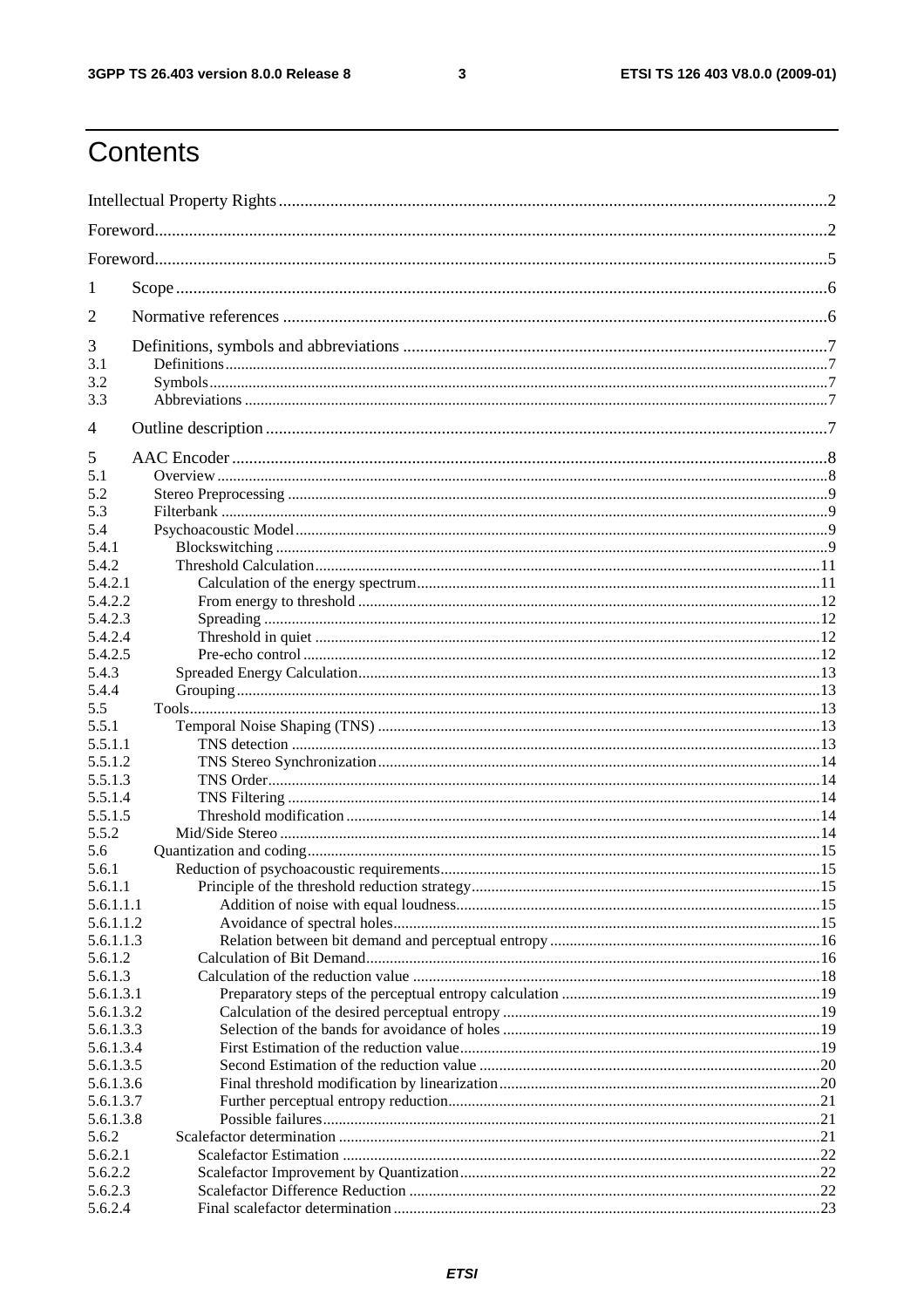$\mathbf{3}$ 

### Contents

| 1              |  |  |  |  |  |
|----------------|--|--|--|--|--|
| $\overline{2}$ |  |  |  |  |  |
| 3              |  |  |  |  |  |
| 3.1            |  |  |  |  |  |
| 3.2            |  |  |  |  |  |
| 3.3            |  |  |  |  |  |
| $\overline{4}$ |  |  |  |  |  |
| 5              |  |  |  |  |  |
| 5.1            |  |  |  |  |  |
| 5.2            |  |  |  |  |  |
| 5.3            |  |  |  |  |  |
| 5.4            |  |  |  |  |  |
| 5.4.1          |  |  |  |  |  |
| 5.4.2          |  |  |  |  |  |
| 5.4.2.1        |  |  |  |  |  |
| 5.4.2.2        |  |  |  |  |  |
| 5.4.2.3        |  |  |  |  |  |
| 5.4.2.4        |  |  |  |  |  |
| 5.4.2.5        |  |  |  |  |  |
| 5.4.3          |  |  |  |  |  |
| 5.4.4          |  |  |  |  |  |
| 5.5<br>5.5.1   |  |  |  |  |  |
| 5.5.1.1        |  |  |  |  |  |
| 5.5.1.2        |  |  |  |  |  |
| 5.5.1.3        |  |  |  |  |  |
| 5.5.1.4        |  |  |  |  |  |
| 5.5.1.5        |  |  |  |  |  |
| 5.5.2          |  |  |  |  |  |
| 5.6            |  |  |  |  |  |
| 5.6.1          |  |  |  |  |  |
| 5.6.1.1        |  |  |  |  |  |
| 5.6.1.1.1      |  |  |  |  |  |
| 5.6.1.1.2      |  |  |  |  |  |
| 5.6.1.1.3      |  |  |  |  |  |
| 5.6.1.2        |  |  |  |  |  |
| 5.6.1.3        |  |  |  |  |  |
| 5.6.1.3.1      |  |  |  |  |  |
| 5.6.1.3.2      |  |  |  |  |  |
| 5.6.1.3.3      |  |  |  |  |  |
| 5.6.1.3.4      |  |  |  |  |  |
| 5.6.1.3.5      |  |  |  |  |  |
| 5.6.1.3.6      |  |  |  |  |  |
| 5.6.1.3.7      |  |  |  |  |  |
| 5.6.1.3.8      |  |  |  |  |  |
| 5.6.2          |  |  |  |  |  |
| 5.6.2.1        |  |  |  |  |  |
| 5.6.2.2        |  |  |  |  |  |
| 5.6.2.3        |  |  |  |  |  |
| 5.6.2.4        |  |  |  |  |  |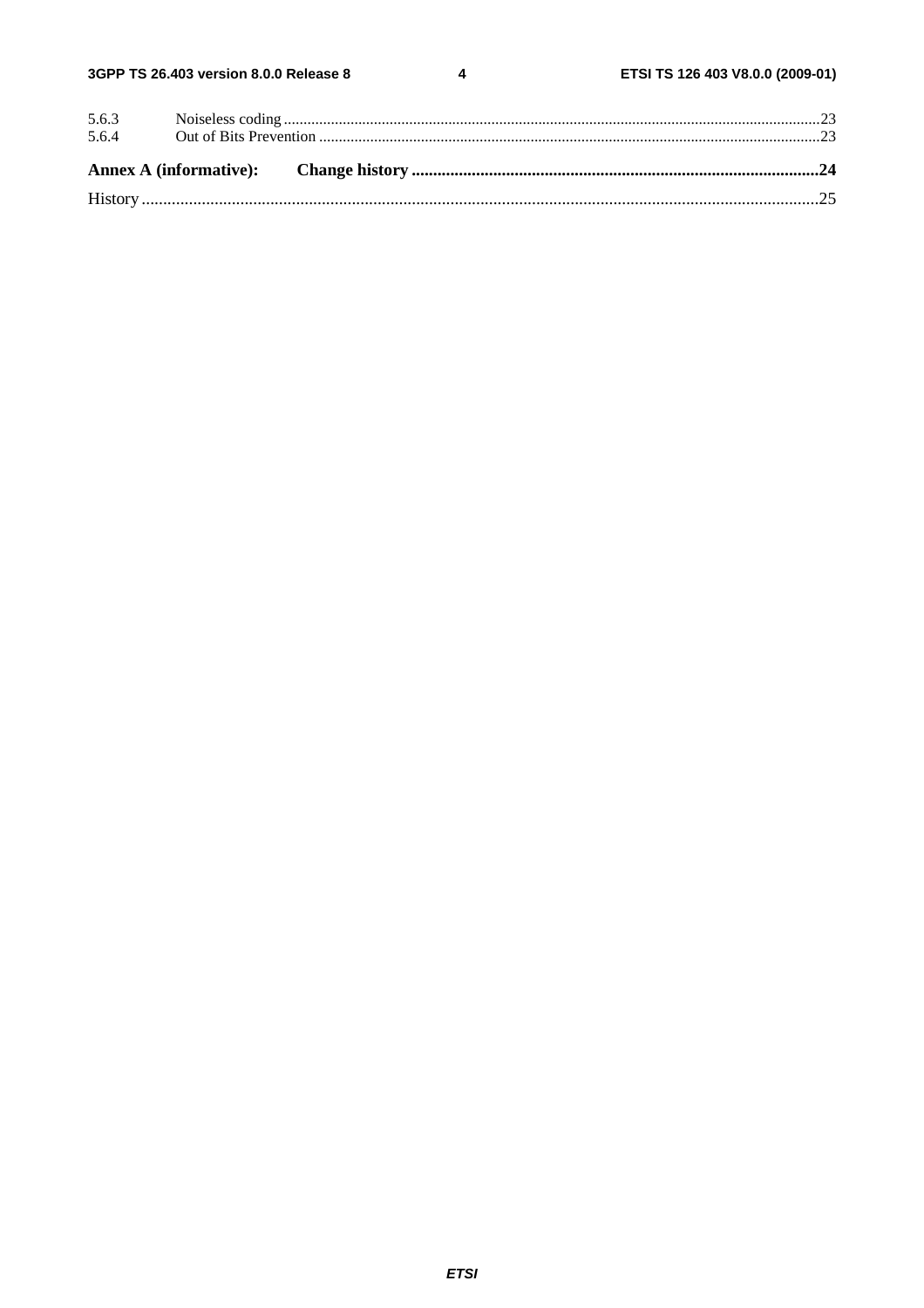$\overline{\mathbf{4}}$ 

| 5.6.3 |  |  |
|-------|--|--|
| 5.6.4 |  |  |
|       |  |  |
|       |  |  |
|       |  |  |
|       |  |  |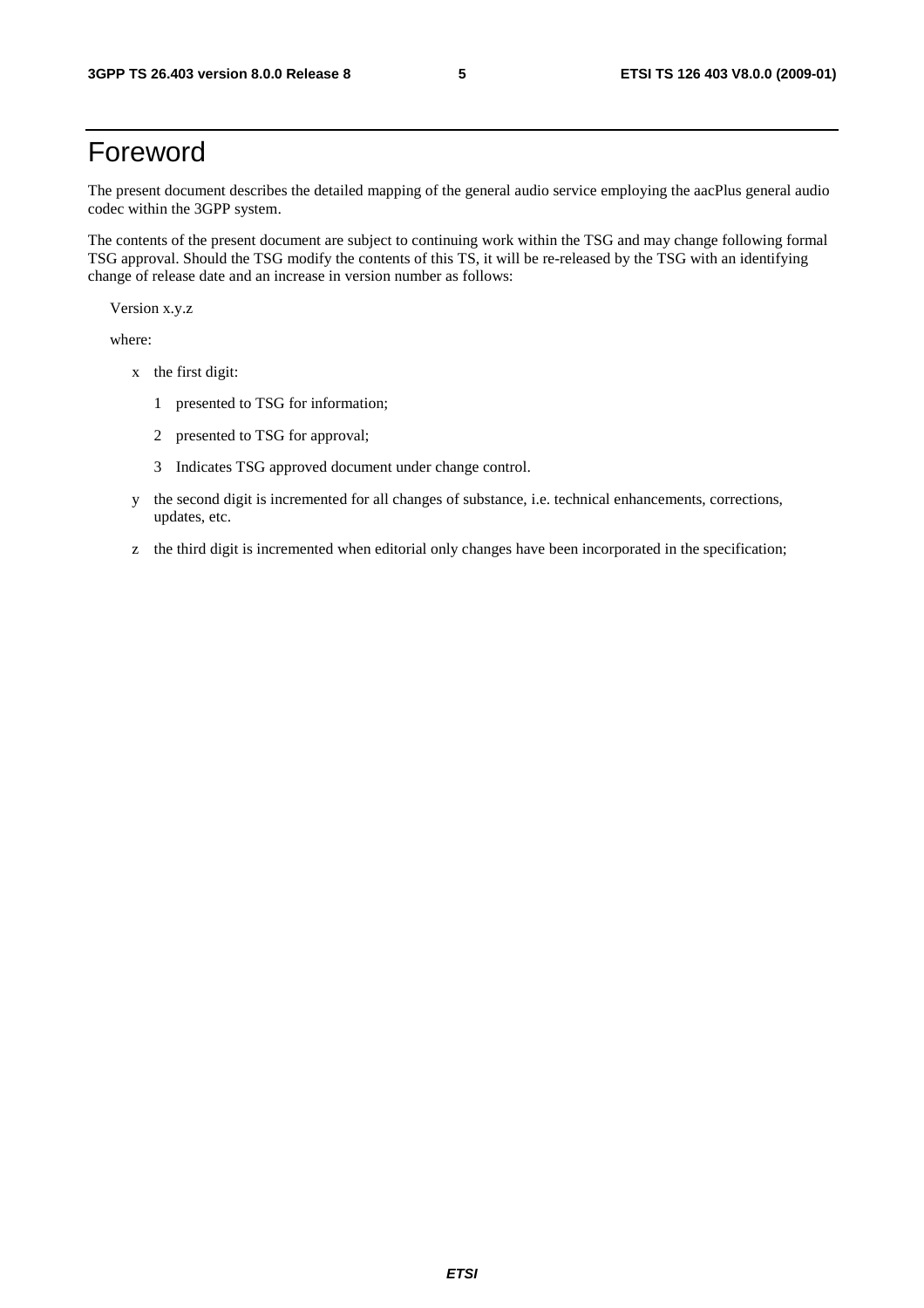### Foreword

The present document describes the detailed mapping of the general audio service employing the aacPlus general audio codec within the 3GPP system.

The contents of the present document are subject to continuing work within the TSG and may change following formal TSG approval. Should the TSG modify the contents of this TS, it will be re-released by the TSG with an identifying change of release date and an increase in version number as follows:

Version x.y.z

where:

- x the first digit:
	- 1 presented to TSG for information;
	- 2 presented to TSG for approval;
	- 3 Indicates TSG approved document under change control.
- y the second digit is incremented for all changes of substance, i.e. technical enhancements, corrections, updates, etc.
- z the third digit is incremented when editorial only changes have been incorporated in the specification;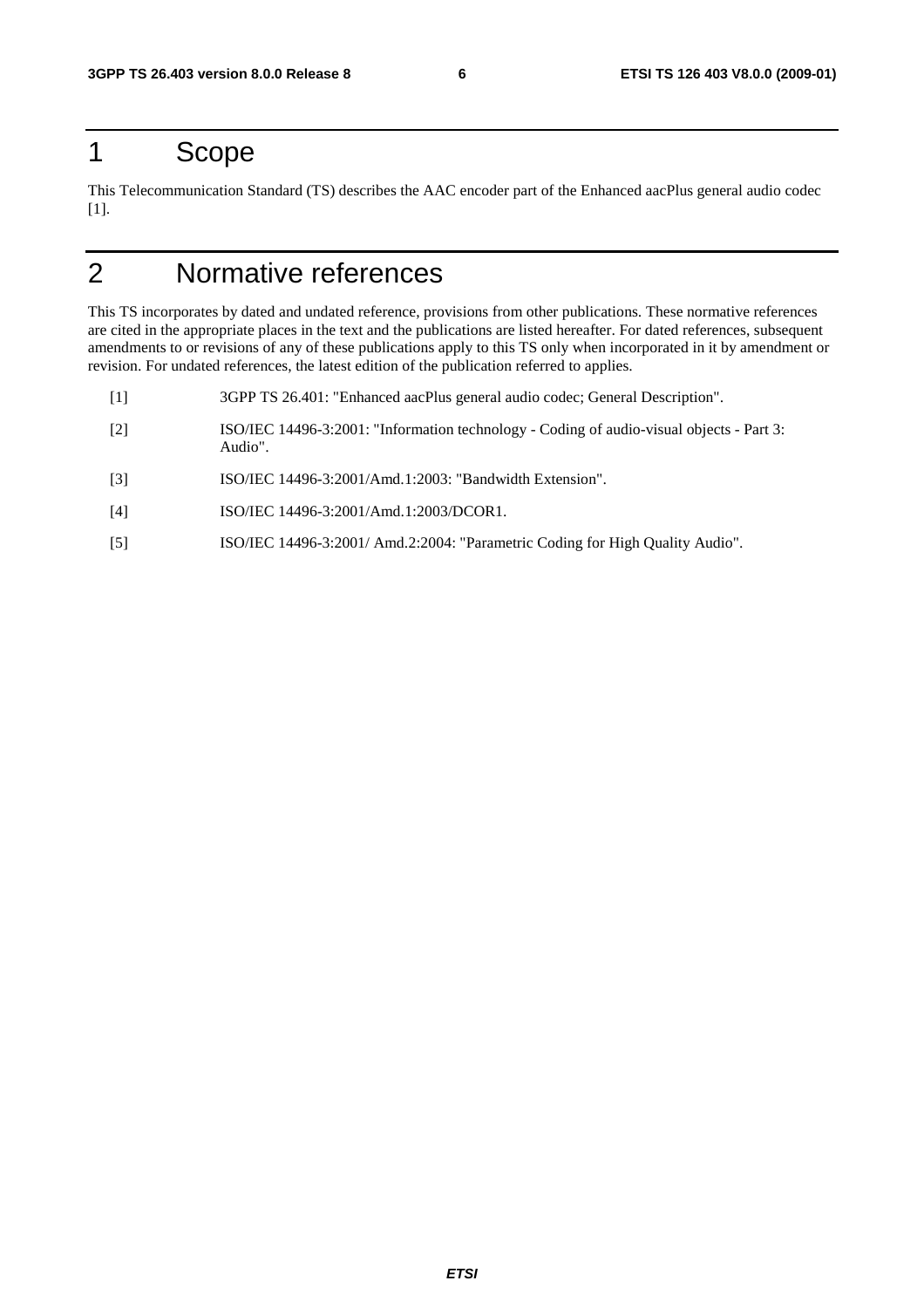### 1 Scope

This Telecommunication Standard (TS) describes the AAC encoder part of the Enhanced aacPlus general audio codec [1].

## 2 Normative references

This TS incorporates by dated and undated reference, provisions from other publications. These normative references are cited in the appropriate places in the text and the publications are listed hereafter. For dated references, subsequent amendments to or revisions of any of these publications apply to this TS only when incorporated in it by amendment or revision. For undated references, the latest edition of the publication referred to applies.

- [1] 3GPP TS 26.401: "Enhanced aacPlus general audio codec; General Description".
- [2] ISO/IEC 14496-3:2001: "Information technology Coding of audio-visual objects Part 3: Audio".
- [3] ISO/IEC 14496-3:2001/Amd.1:2003: "Bandwidth Extension".
- [4] ISO/IEC 14496-3:2001/Amd.1:2003/DCOR1.
- [5] ISO/IEC 14496-3:2001/ Amd.2:2004: "Parametric Coding for High Quality Audio".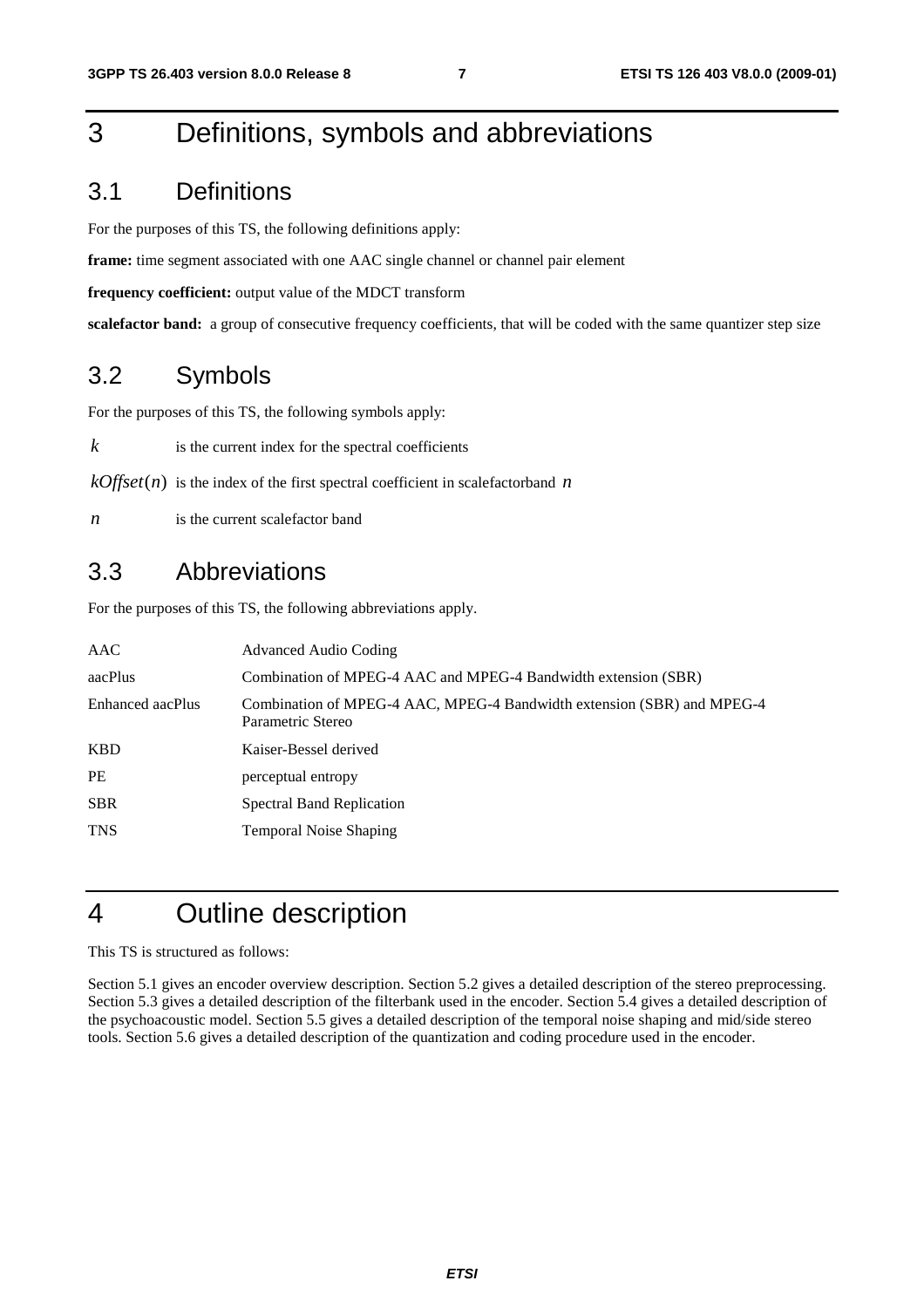### 3 Definitions, symbols and abbreviations

### 3.1 Definitions

For the purposes of this TS, the following definitions apply:

**frame:** time segment associated with one AAC single channel or channel pair element

**frequency coefficient:** output value of the MDCT transform

**scalefactor band:** a group of consecutive frequency coefficients, that will be coded with the same quantizer step size

### 3.2 Symbols

For the purposes of this TS, the following symbols apply:

 $k$  is the current index for the spectral coefficients

 $kOffset(n)$  is the index of the first spectral coefficient in scalefactorband *n* 

*n* is the current scalefactor band

### 3.3 Abbreviations

For the purposes of this TS, the following abbreviations apply.

| AAC              | Advanced Audio Coding                                                                       |
|------------------|---------------------------------------------------------------------------------------------|
| aacPlus          | Combination of MPEG-4 AAC and MPEG-4 Bandwidth extension (SBR)                              |
| Enhanced aacPlus | Combination of MPEG-4 AAC, MPEG-4 Bandwidth extension (SBR) and MPEG-4<br>Parametric Stereo |
| KBD              | Kaiser-Bessel derived                                                                       |
| PE               | perceptual entropy                                                                          |
| <b>SBR</b>       | <b>Spectral Band Replication</b>                                                            |
| <b>TNS</b>       | <b>Temporal Noise Shaping</b>                                                               |

### 4 Outline description

This TS is structured as follows:

Section 5.1 gives an encoder overview description. Section 5.2 gives a detailed description of the stereo preprocessing. Section 5.3 gives a detailed description of the filterbank used in the encoder. Section 5.4 gives a detailed description of the psychoacoustic model. Section 5.5 gives a detailed description of the temporal noise shaping and mid/side stereo tools. Section 5.6 gives a detailed description of the quantization and coding procedure used in the encoder.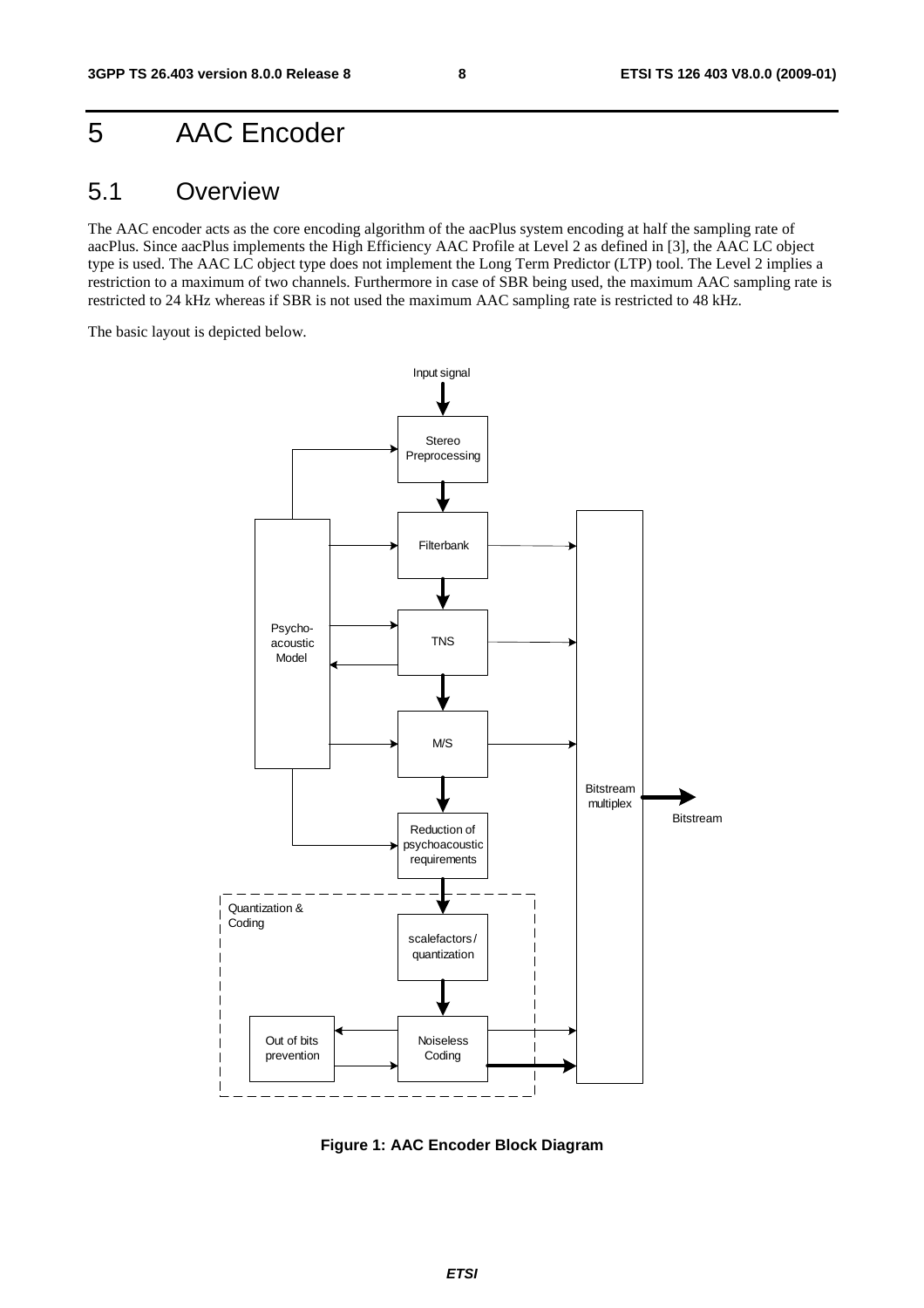### 5 AAC Encoder

### 5.1 Overview

The AAC encoder acts as the core encoding algorithm of the aacPlus system encoding at half the sampling rate of aacPlus. Since aacPlus implements the High Efficiency AAC Profile at Level 2 as defined in [3], the AAC LC object type is used. The AAC LC object type does not implement the Long Term Predictor (LTP) tool. The Level 2 implies a restriction to a maximum of two channels. Furthermore in case of SBR being used, the maximum AAC sampling rate is restricted to 24 kHz whereas if SBR is not used the maximum AAC sampling rate is restricted to 48 kHz.

The basic layout is depicted below.



**Figure 1: AAC Encoder Block Diagram**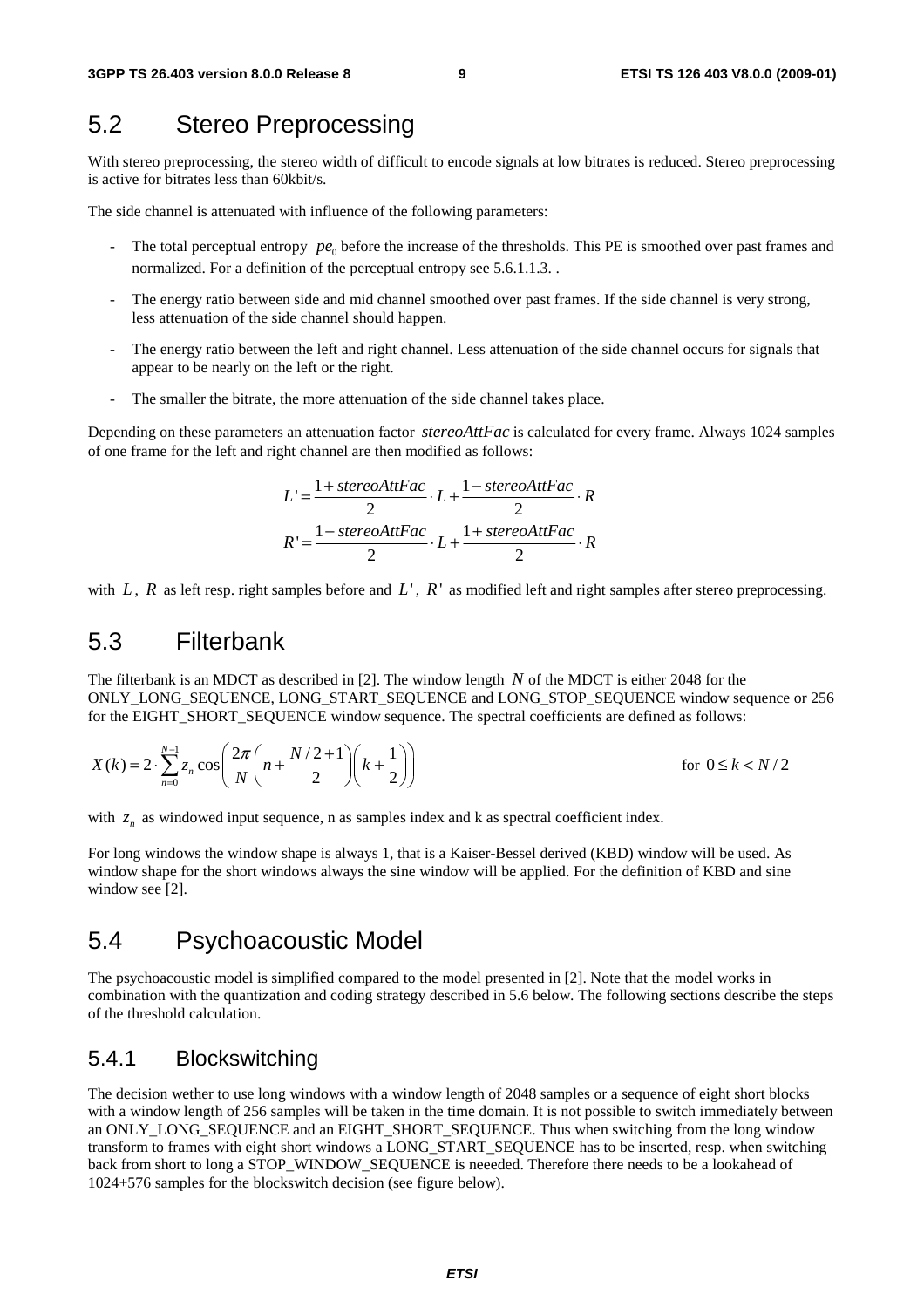### 5.2 Stereo Preprocessing

With stereo preprocessing, the stereo width of difficult to encode signals at low bitrates is reduced. Stereo preprocessing is active for bitrates less than 60kbit/s.

The side channel is attenuated with influence of the following parameters:

- The total perceptual entropy  $pe_0$  before the increase of the thresholds. This PE is smoothed over past frames and normalized. For a definition of the perceptual entropy see 5.6.1.1.3. .
- The energy ratio between side and mid channel smoothed over past frames. If the side channel is very strong, less attenuation of the side channel should happen.
- The energy ratio between the left and right channel. Less attenuation of the side channel occurs for signals that appear to be nearly on the left or the right.
- The smaller the bitrate, the more attenuation of the side channel takes place.

Depending on these parameters an attenuation factor *stereoAttFac* is calculated for every frame. Always 1024 samples of one frame for the left and right channel are then modified as follows:

$$
L' = \frac{1 + stereoAttFac}{2} \cdot L + \frac{1 - stereoAttFac}{2} \cdot R
$$

$$
R' = \frac{1 - stereoAttFac}{2} \cdot L + \frac{1 + stereoAttFac}{2} \cdot R
$$

with  $L$ ,  $R$  as left resp. right samples before and  $L'$ ,  $R'$  as modified left and right samples after stereo preprocessing.

### 5.3 Filterbank

The filterbank is an MDCT as described in [2]. The window length *N* of the MDCT is either 2048 for the ONLY\_LONG\_SEQUENCE, LONG\_START\_SEQUENCE and LONG\_STOP\_SEQUENCE window sequence or 256 for the EIGHT\_SHORT\_SEQUENCE window sequence. The spectral coefficients are defined as follows:

$$
X(k) = 2 \cdot \sum_{n=0}^{N-1} z_n \cos \left( \frac{2\pi}{N} \left( n + \frac{N/2 + 1}{2} \right) \left( k + \frac{1}{2} \right) \right)
$$
 for  $0 \le k < N/2$ 

with  $z_n$  as windowed input sequence, n as samples index and k as spectral coefficient index.

For long windows the window shape is always 1, that is a Kaiser-Bessel derived (KBD) window will be used. As window shape for the short windows always the sine window will be applied. For the definition of KBD and sine window see [2].

### 5.4 Psychoacoustic Model

The psychoacoustic model is simplified compared to the model presented in [2]. Note that the model works in combination with the quantization and coding strategy described in 5.6 below. The following sections describe the steps of the threshold calculation.

#### 5.4.1 Blockswitching

The decision wether to use long windows with a window length of 2048 samples or a sequence of eight short blocks with a window length of 256 samples will be taken in the time domain. It is not possible to switch immediately between an ONLY\_LONG\_SEQUENCE and an EIGHT\_SHORT\_SEQUENCE. Thus when switching from the long window transform to frames with eight short windows a LONG\_START\_SEQUENCE has to be inserted, resp. when switching back from short to long a STOP\_WINDOW\_SEQUENCE is neeeded. Therefore there needs to be a lookahead of 1024+576 samples for the blockswitch decision (see figure below).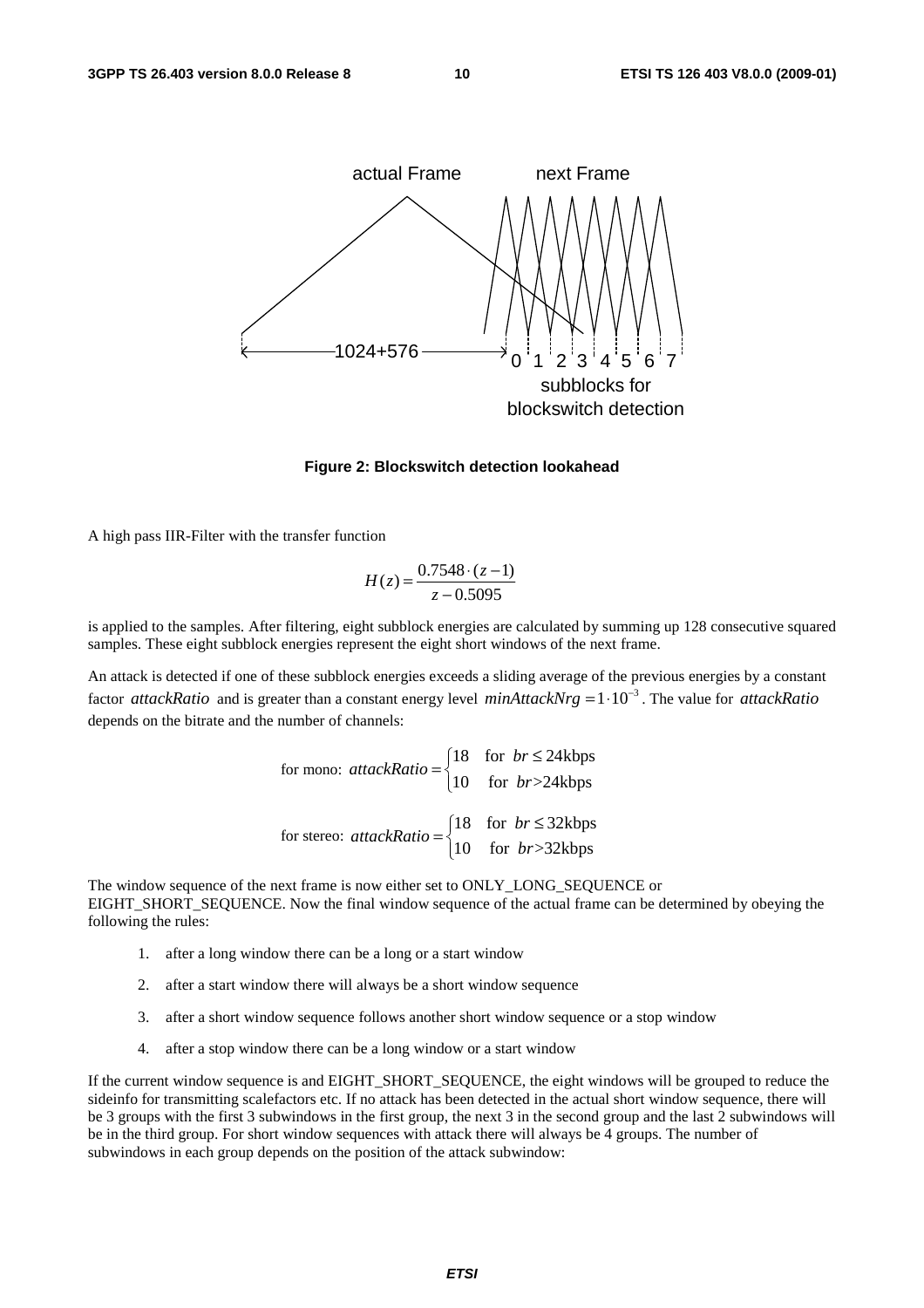

#### **Figure 2: Blockswitch detection lookahead**

A high pass IIR-Filter with the transfer function

$$
H(z) = \frac{0.7548 \cdot (z - 1)}{z - 0.5095}
$$

is applied to the samples. After filtering, eight subblock energies are calculated by summing up 128 consecutive squared samples. These eight subblock energies represent the eight short windows of the next frame.

An attack is detected if one of these subblock energies exceeds a sliding average of the previous energies by a constant factor *attackRatio* and is greater than a constant energy level *minAttackNrg* =  $1 \cdot 10^{-3}$ . The value for *attackRatio* depends on the bitrate and the number of channels:

for mono:  $attackRatio = \begin{cases} 18 & \text{for } br \leq 24kbps \ 10 & \text{if } s \leq 2411 \end{cases}$ 10 for  $br> > 24kbps$ *br attackRatio*  $= \begin{cases} 18 & \text{for } br \le \\ 10 & \text{for } br > \end{cases}$  $\overline{a}$ for stereo:  $\arctan\left(\frac{18}{18}\right)$  for  $br \leq 32$ kbps 10 for  $br> >32 kbps$ *br attackRatio*  $= \begin{cases} 18 & \text{for } br \le \\ 10 & \text{for } br > \end{cases}$ 

The window sequence of the next frame is now either set to ONLY\_LONG\_SEQUENCE or EIGHT\_SHORT\_SEQUENCE. Now the final window sequence of the actual frame can be determined by obeying the following the rules:

 $\overline{a}$ 

- 1. after a long window there can be a long or a start window
- 2. after a start window there will always be a short window sequence
- 3. after a short window sequence follows another short window sequence or a stop window
- 4. after a stop window there can be a long window or a start window

If the current window sequence is and EIGHT\_SHORT\_SEQUENCE, the eight windows will be grouped to reduce the sideinfo for transmitting scalefactors etc. If no attack has been detected in the actual short window sequence, there will be 3 groups with the first 3 subwindows in the first group, the next 3 in the second group and the last 2 subwindows will be in the third group. For short window sequences with attack there will always be 4 groups. The number of subwindows in each group depends on the position of the attack subwindow: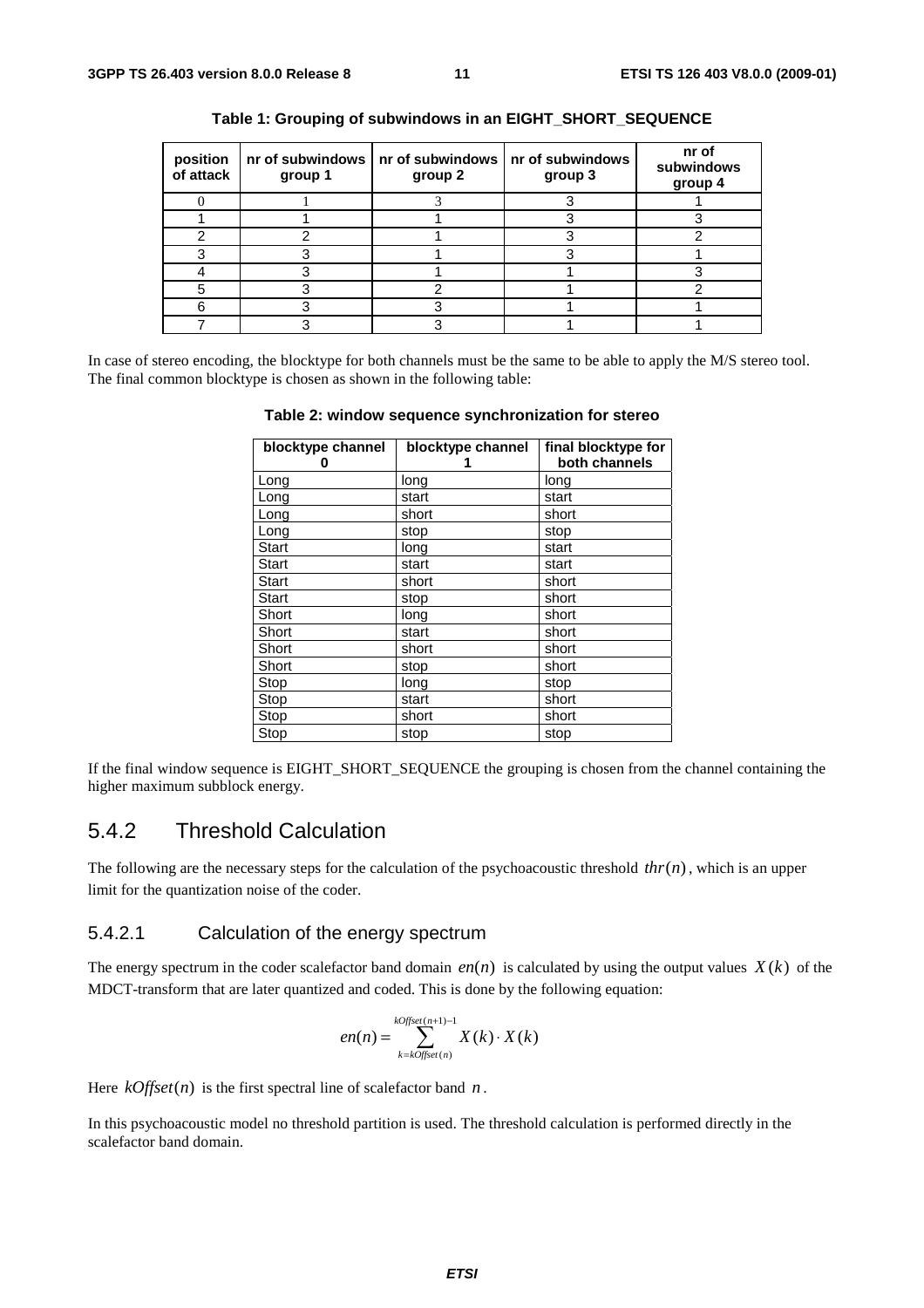| position<br>of attack | group 1 | nr of subwindows   nr of subwindows   nr of subwindows<br>group 2 | group 3 | nr of<br>subwindows<br>group 4 |
|-----------------------|---------|-------------------------------------------------------------------|---------|--------------------------------|
|                       |         |                                                                   |         |                                |
|                       |         |                                                                   |         |                                |
|                       |         |                                                                   |         |                                |
|                       |         |                                                                   |         |                                |
|                       |         |                                                                   |         |                                |
|                       |         |                                                                   |         |                                |
|                       |         |                                                                   |         |                                |
|                       |         |                                                                   |         |                                |

|  | Table 1: Grouping of subwindows in an EIGHT_SHORT_SEQUENCE |  |  |
|--|------------------------------------------------------------|--|--|
|  |                                                            |  |  |

In case of stereo encoding, the blocktype for both channels must be the same to be able to apply the M/S stereo tool. The final common blocktype is chosen as shown in the following table:

|  | Table 2: window sequence synchronization for stereo |  |
|--|-----------------------------------------------------|--|
|  |                                                     |  |

| blocktype channel | blocktype channel | final blocktype for |  |  |
|-------------------|-------------------|---------------------|--|--|
| o                 |                   | both channels       |  |  |
| Long              | long              | long                |  |  |
| Long              | start             | start               |  |  |
| Long              | short             | short               |  |  |
| Long              | stop              | stop                |  |  |
| Start             | long              | start               |  |  |
| Start             | start             | start               |  |  |
| Start             | short             | short               |  |  |
| Start             | stop              | short               |  |  |
| Short             | long              | short               |  |  |
| Short             | start             | short               |  |  |
| Short             | short             | short               |  |  |
| Short             | stop              | short               |  |  |
| Stop              | long              | stop                |  |  |
| Stop              | start             | short               |  |  |
| Stop              | short             | short               |  |  |
| Stop              | stop              | stop                |  |  |

If the final window sequence is EIGHT\_SHORT\_SEQUENCE the grouping is chosen from the channel containing the higher maximum subblock energy.

#### 5.4.2 Threshold Calculation

The following are the necessary steps for the calculation of the psychoacoustic threshold  $thr(n)$ , which is an upper limit for the quantization noise of the coder.

#### 5.4.2.1 Calculation of the energy spectrum

The energy spectrum in the coder scalefactor band domain  $en(n)$  is calculated by using the output values  $X(k)$  of the MDCT-transform that are later quantized and coded. This is done by the following equation:

$$
en(n) = \sum_{k=k^\circ}}^{k^\circ} X(k) \cdot X(k)
$$

Here  $kOffset(n)$  is the first spectral line of scalefactor band *n*.

In this psychoacoustic model no threshold partition is used. The threshold calculation is performed directly in the scalefactor band domain.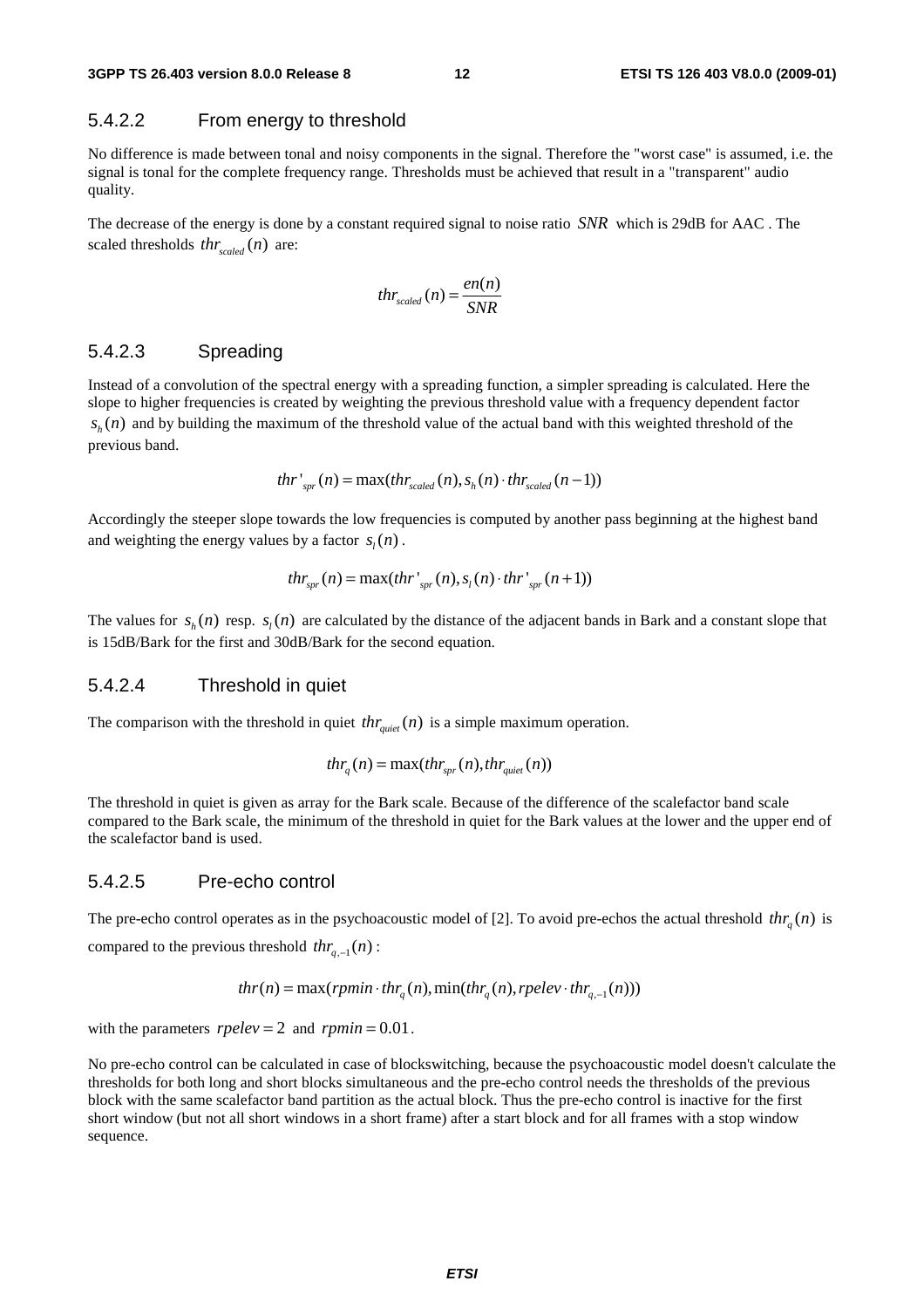#### 5.4.2.2 From energy to threshold

No difference is made between tonal and noisy components in the signal. Therefore the "worst case" is assumed, i.e. the signal is tonal for the complete frequency range. Thresholds must be achieved that result in a "transparent" audio quality.

The decrease of the energy is done by a constant required signal to noise ratio *SNR* which is 29dB for AAC . The scaled thresholds  $thr_{scaled}(n)$  are:

$$
thr_{scaled}(n) = \frac{en(n)}{SNR}
$$

#### 5.4.2.3 Spreading

Instead of a convolution of the spectral energy with a spreading function, a simpler spreading is calculated. Here the slope to higher frequencies is created by weighting the previous threshold value with a frequency dependent factor  $s<sub>k</sub>(n)$  and by building the maximum of the threshold value of the actual band with this weighted threshold of the previous band.

$$
thr'_{spr}(n) = \max(thr_{scaled}(n), s_h(n) \cdot thr_{scaled}(n-1))
$$

Accordingly the steeper slope towards the low frequencies is computed by another pass beginning at the highest band and weighting the energy values by a factor  $s<sub>i</sub>(n)$ .

$$
thr_{spr}(n) = \max(thr'_{spr}(n), s_l(n) \cdot thr'_{spr}(n+1))
$$

The values for  $s<sub>k</sub>(n)$  resp.  $s<sub>k</sub>(n)$  are calculated by the distance of the adjacent bands in Bark and a constant slope that is 15dB/Bark for the first and 30dB/Bark for the second equation.

#### 5.4.2.4 Threshold in quiet

The comparison with the threshold in quiet  $thr_{\text{quiet}}(n)$  is a simple maximum operation.

$$
thr_q(n) = \max(thr_{spr}(n), thr_{quiet}(n))
$$

The threshold in quiet is given as array for the Bark scale. Because of the difference of the scalefactor band scale compared to the Bark scale, the minimum of the threshold in quiet for the Bark values at the lower and the upper end of the scalefactor band is used.

#### 5.4.2.5 Pre-echo control

The pre-echo control operates as in the psychoacoustic model of [2]. To avoid pre-echos the actual threshold  $thr_a(n)$  is compared to the previous threshold  $thr_{n-1}(n)$ :

$$
thr(n) = \max(rpmin \cdot thr_q(n), \min thr_q(n), rpelev \cdot thr_{q,-1}(n)))
$$

with the parameters  $rpelve = 2$  and  $rpmin = 0.01$ .

No pre-echo control can be calculated in case of blockswitching, because the psychoacoustic model doesn't calculate the thresholds for both long and short blocks simultaneous and the pre-echo control needs the thresholds of the previous block with the same scalefactor band partition as the actual block. Thus the pre-echo control is inactive for the first short window (but not all short windows in a short frame) after a start block and for all frames with a stop window sequence.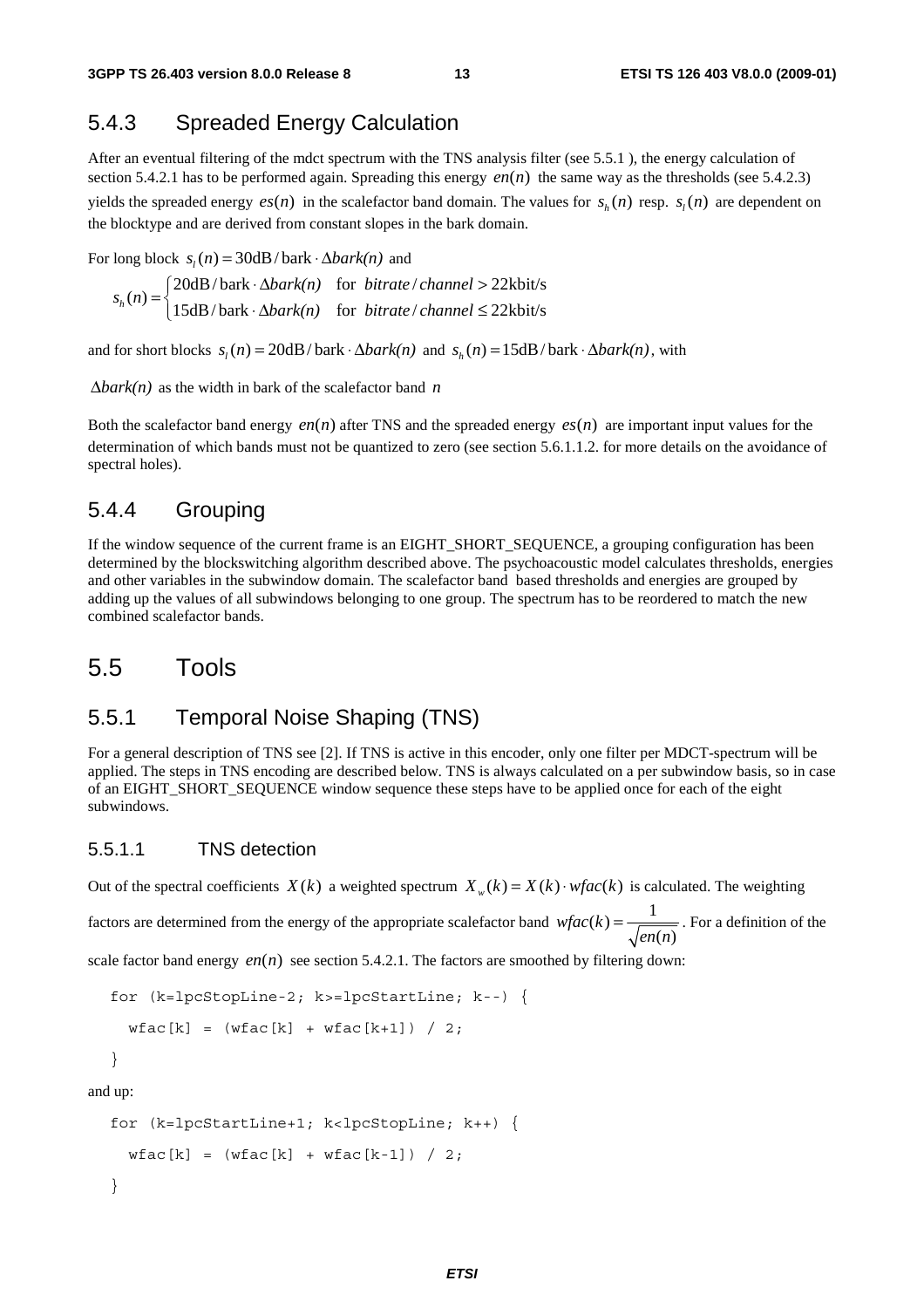### 5.4.3 Spreaded Energy Calculation

After an eventual filtering of the mdct spectrum with the TNS analysis filter (see 5.5.1 ), the energy calculation of section 5.4.2.1 has to be performed again. Spreading this energy  $en(n)$  the same way as the thresholds (see 5.4.2.3) yields the spreaded energy  $es(n)$  in the scalefactor band domain. The values for  $s<sub>i</sub>(n)$  resp.  $s<sub>i</sub>(n)$  are dependent on the blocktype and are derived from constant slopes in the bark domain.

For long block  $s_i(n) = 30dB/bark \cdot \Delta bark(n)$  and

 $20dB/bark \cdot \Delta bark(n)$  for *bitrate* / *channel* >  $22kbit/s$  $h_n(n) = \begin{cases} -\cos\theta & \text{for } n \neq n, \\ 15dB/\text{bark} & \text{for } \text{bitrate}/\text{channel} \leq 22\text{kbits} \end{cases}$ *bark(n)* for *bitrate* / *channel s n*  $\begin{aligned} = \begin{cases} 20 \text{dB}/\text{bark} \cdot \Delta bark(n) & \text{for} \; \text{bitrate}/\text{channel} > \\ 15 \text{dB}/\text{bark} \cdot \Delta bark(n) & \text{for} \; \text{bitrate}/\text{channel} \leq \end{cases} \end{aligned}$  $\lfloor 15dB/bark \cdot \Delta bark(n) \rfloor$  for *bitrate* / *channel*  $\leq$ 

and for short blocks  $s_i(n) = 20dB/bark \cdot \Delta bark(n)$  and  $s_i(n) = 15dB/bark \cdot \Delta bark(n)$ , with

Δ*bark(n)* as the width in bark of the scalefactor band *n*

Both the scalefactor band energy *en*(*n*) after TNS and the spreaded energy  $es(n)$  are important input values for the determination of which bands must not be quantized to zero (see section 5.6.1.1.2. for more details on the avoidance of spectral holes).

#### 5.4.4 Grouping

If the window sequence of the current frame is an EIGHT\_SHORT\_SEQUENCE, a grouping configuration has been determined by the blockswitching algorithm described above. The psychoacoustic model calculates thresholds, energies and other variables in the subwindow domain. The scalefactor band based thresholds and energies are grouped by adding up the values of all subwindows belonging to one group. The spectrum has to be reordered to match the new combined scalefactor bands.

### 5.5 Tools

#### 5.5.1 Temporal Noise Shaping (TNS)

For a general description of TNS see [2]. If TNS is active in this encoder, only one filter per MDCT-spectrum will be applied. The steps in TNS encoding are described below. TNS is always calculated on a per subwindow basis, so in case of an EIGHT\_SHORT\_SEQUENCE window sequence these steps have to be applied once for each of the eight subwindows.

#### 5.5.1.1 TNS detection

Out of the spectral coefficients  $X(k)$  a weighted spectrum  $X_{w}(k) = X(k) \cdot wfac(k)$  is calculated. The weighting

factors are determined from the energy of the appropriate scalefactor band  $wfac(k) = \frac{1}{\sqrt{en(n)}}$ . For a definition of the

scale factor band energy  $en(n)$  see section 5.4.2.1. The factors are smoothed by filtering down:

```
for (k=lpcStopLine-2; k>=lpcStartLine; k--) { 
 wfac[k] = (wfac[k] + wfac[k+1]) / 2;}
```
and up:

```
for (k=lpcStartLine+1; k<lpcStopLine; k++) { 
 wfac[k] = (wfac[k] + wfac[k-1]) / 2;}
```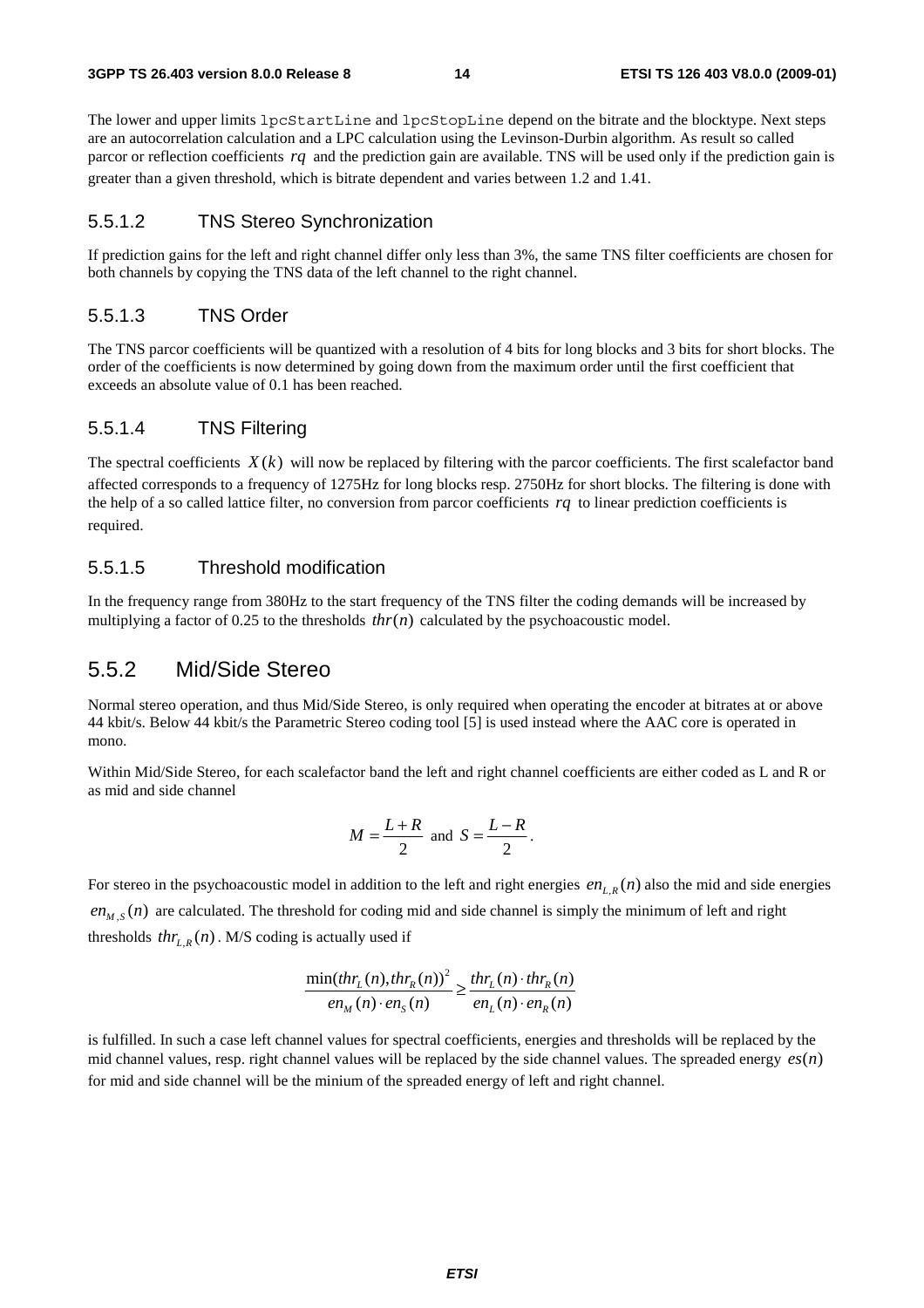The lower and upper limits lpcStartLine and lpcStopLine depend on the bitrate and the blocktype. Next steps are an autocorrelation calculation and a LPC calculation using the Levinson-Durbin algorithm. As result so called parcor or reflection coefficients *rq* and the prediction gain are available. TNS will be used only if the prediction gain is greater than a given threshold, which is bitrate dependent and varies between 1.2 and 1.41.

#### 5.5.1.2 TNS Stereo Synchronization

If prediction gains for the left and right channel differ only less than 3%, the same TNS filter coefficients are chosen for both channels by copying the TNS data of the left channel to the right channel.

#### 5.5.1.3 TNS Order

The TNS parcor coefficients will be quantized with a resolution of 4 bits for long blocks and 3 bits for short blocks. The order of the coefficients is now determined by going down from the maximum order until the first coefficient that exceeds an absolute value of 0.1 has been reached.

#### 5.5.1.4 TNS Filtering

The spectral coefficients  $X(k)$  will now be replaced by filtering with the parcor coefficients. The first scalefactor band affected corresponds to a frequency of 1275Hz for long blocks resp. 2750Hz for short blocks. The filtering is done with the help of a so called lattice filter, no conversion from parcor coefficients *rq* to linear prediction coefficients is required.

#### 5.5.1.5 Threshold modification

In the frequency range from 380Hz to the start frequency of the TNS filter the coding demands will be increased by multiplying a factor of 0.25 to the thresholds  $thr(n)$  calculated by the psychoacoustic model.

#### 5.5.2 Mid/Side Stereo

Normal stereo operation, and thus Mid/Side Stereo, is only required when operating the encoder at bitrates at or above 44 kbit/s. Below 44 kbit/s the Parametric Stereo coding tool [5] is used instead where the AAC core is operated in mono.

Within Mid/Side Stereo, for each scalefactor band the left and right channel coefficients are either coded as L and R or as mid and side channel

$$
M = \frac{L+R}{2} \text{ and } S = \frac{L-R}{2}.
$$

For stereo in the psychoacoustic model in addition to the left and right energies  $en_{L,R}(n)$  also the mid and side energies  $en_{M,S}(n)$  are calculated. The threshold for coding mid and side channel is simply the minimum of left and right thresholds  $thr_{LR}(n)$ . M/S coding is actually used if

$$
\frac{\min(thr_L(n), thr_R(n))^2}{en_M(n)\cdot en_S(n)} \ge \frac{thr_L(n)\cdot thr_R(n)}{en_L(n)\cdot en_R(n)}
$$

is fulfilled. In such a case left channel values for spectral coefficients, energies and thresholds will be replaced by the mid channel values, resp. right channel values will be replaced by the side channel values. The spreaded energy  $es(n)$ for mid and side channel will be the minium of the spreaded energy of left and right channel.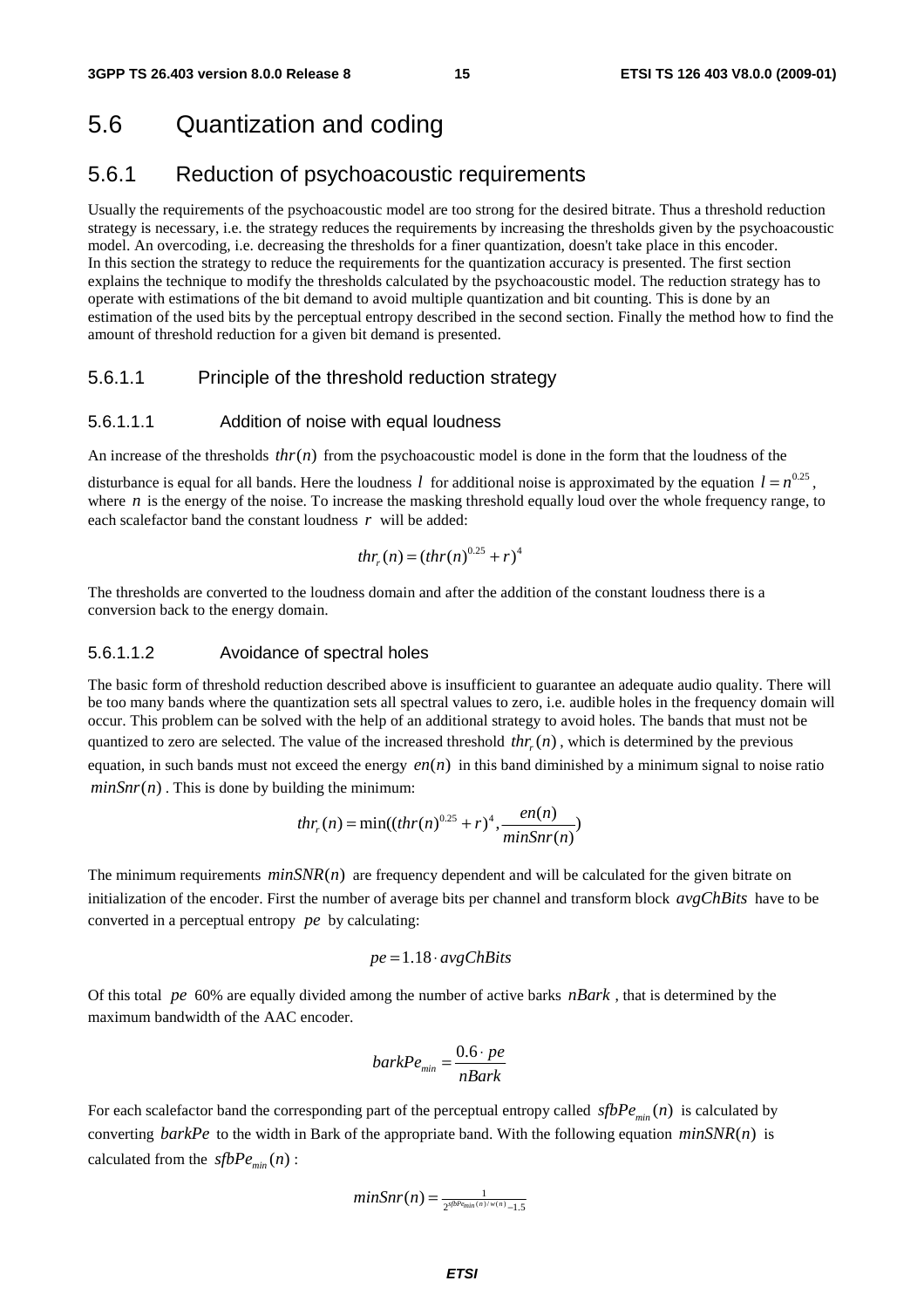### 5.6 Quantization and coding

### 5.6.1 Reduction of psychoacoustic requirements

Usually the requirements of the psychoacoustic model are too strong for the desired bitrate. Thus a threshold reduction strategy is necessary, i.e. the strategy reduces the requirements by increasing the thresholds given by the psychoacoustic model. An overcoding, i.e. decreasing the thresholds for a finer quantization, doesn't take place in this encoder. In this section the strategy to reduce the requirements for the quantization accuracy is presented. The first section explains the technique to modify the thresholds calculated by the psychoacoustic model. The reduction strategy has to operate with estimations of the bit demand to avoid multiple quantization and bit counting. This is done by an estimation of the used bits by the perceptual entropy described in the second section. Finally the method how to find the amount of threshold reduction for a given bit demand is presented.

#### 5.6.1.1 Principle of the threshold reduction strategy

#### 5.6.1.1.1 Addition of noise with equal loudness

An increase of the thresholds  $thr(n)$  from the psychoacoustic model is done in the form that the loudness of the

disturbance is equal for all bands. Here the loudness *l* for additional noise is approximated by the equation  $l = n^{0.25}$ , where  $n$  is the energy of the noise. To increase the masking threshold equally loud over the whole frequency range, to each scalefactor band the constant loudness *r* will be added:

$$
thr_r(n) = (thr(n)^{0.25} + r)^4
$$

The thresholds are converted to the loudness domain and after the addition of the constant loudness there is a conversion back to the energy domain.

#### 5.6.1.1.2 Avoidance of spectral holes

The basic form of threshold reduction described above is insufficient to guarantee an adequate audio quality. There will be too many bands where the quantization sets all spectral values to zero, i.e. audible holes in the frequency domain will occur. This problem can be solved with the help of an additional strategy to avoid holes. The bands that must not be quantized to zero are selected. The value of the increased threshold  $thr(n)$ , which is determined by the previous equation, in such bands must not exceed the energy  $en(n)$  in this band diminished by a minimum signal to noise ratio  $minSnr(n)$ . This is done by building the minimum:

$$
thr_r(n) = \min((thr(n)^{0.25} + r)^4, \frac{en(n)}{minSnr(n)}
$$

The minimum requirements  $minSNR(n)$  are frequency dependent and will be calculated for the given bitrate on initialization of the encoder. First the number of average bits per channel and transform block *avgChBits* have to be converted in a perceptual entropy *pe* by calculating:

$$
pe = 1.18 \cdot avgChBits
$$

Of this total *pe* 60% are equally divided among the number of active barks *nBark* , that is determined by the maximum bandwidth of the AAC encoder.

$$
barkPe_{\min} = \frac{0.6 \cdot pe}{nBark}
$$

For each scalefactor band the corresponding part of the perceptual entropy called  $sfbPe_{\text{min}}(n)$  is calculated by converting *barkPe* to the width in Bark of the appropriate band. With the following equation  $minSNR(n)$  is calculated from the  $sfbPe_{min}(n)$ :

$$
minSnr(n) = \frac{1}{2^{sfbP_{e_{min}(n)/w(n)}}-1.5}
$$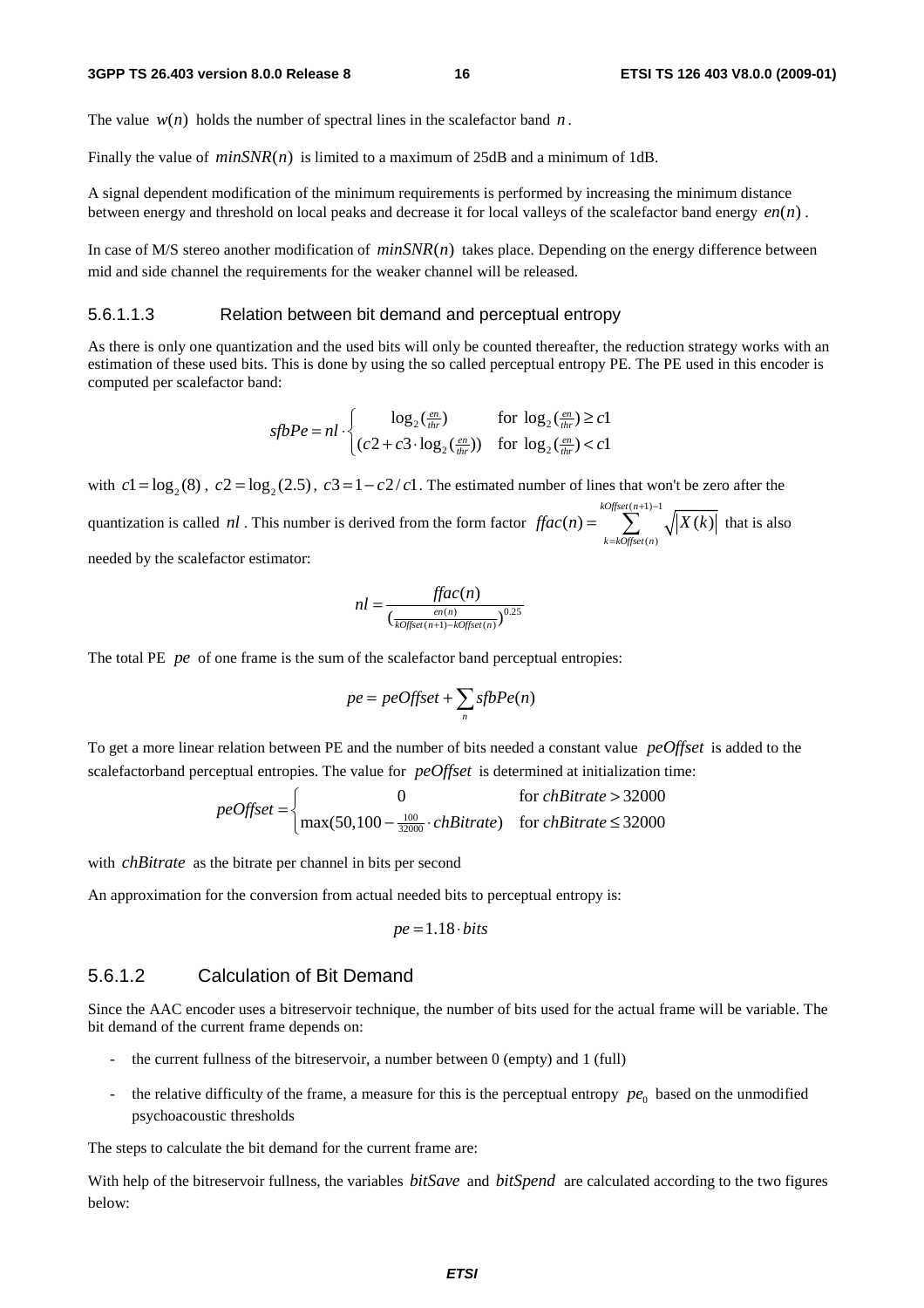The value  $w(n)$  holds the number of spectral lines in the scalefactor band *n*.

Finally the value of  $minSNR(n)$  is limited to a maximum of 25dB and a minimum of 1dB.

A signal dependent modification of the minimum requirements is performed by increasing the minimum distance between energy and threshold on local peaks and decrease it for local valleys of the scalefactor band energy  $en(n)$ .

In case of M/S stereo another modification of  $minSNR(n)$  takes place. Depending on the energy difference between mid and side channel the requirements for the weaker channel will be released.

#### 5.6.1.1.3 Relation between bit demand and perceptual entropy

As there is only one quantization and the used bits will only be counted thereafter, the reduction strategy works with an estimation of these used bits. This is done by using the so called perceptual entropy PE. The PE used in this encoder is computed per scalefactor band:

$$
sfbPe = nl \cdot \begin{cases} \log_2(\frac{en}{thr}) & \text{for } \log_2(\frac{en}{thr}) \ge c1\\ (c2 + c3 \cdot \log_2(\frac{en}{thr})) & \text{for } \log_2(\frac{en}{thr}) < c1 \end{cases}
$$

with  $c_1 = \log_2(8)$ ,  $c_2 = \log_2(2.5)$ ,  $c_3 = 1 - c_2/c_1$ . The estimated number of lines that won't be zero after the quantization is called *nl*. This number is derived from the form factor  $\iint ac(n) =$  $(n)$  $(n) = \sum_{k=1}^{\infty} \sqrt{X(k)}$ *kOffset n k kOffset n*  $\text{frac}(n) = \sum_{x} \sqrt{|X(k)|}$  $+1)$  –  $=\sum_{k= kofiset(n)}^{k=0} \sqrt{|X(k)|}$  that is also

needed by the scalefactor estimator:

$$
nl = \frac{ffac(n)}{\left(\frac{en(n)}{kOfset(n+1)-kOffset(n)}\right)^{0.25}}
$$

The total PE *pe* of one frame is the sum of the scalefactor band perceptual entropies:

$$
pe = peOffset + \sum_{n} sfbPe(n)
$$

To get a more linear relation between PE and the number of bits needed a constant value *peOffset* is added to the scalefactorband perceptual entropies. The value for *peOffset* is determined at initialization time:

$$
peOffset = \begin{cases} 0 & \text{for chBitrate} > 32000\\ \max(50,100 - \frac{100}{32000} \cdot chBitrate) & \text{for chBitrate} \le 32000 \end{cases}
$$

with *chBitrate* as the bitrate per channel in bits per second

An approximation for the conversion from actual needed bits to perceptual entropy is:

$$
pe = 1.18 \cdot bits
$$

#### 5.6.1.2 Calculation of Bit Demand

Since the AAC encoder uses a bitreservoir technique, the number of bits used for the actual frame will be variable. The bit demand of the current frame depends on:

- the current fullness of the bitreservoir, a number between  $0$  (empty) and  $1$  (full)
- the relative difficulty of the frame, a measure for this is the perceptual entropy  $pe_0$  based on the unmodified psychoacoustic thresholds

The steps to calculate the bit demand for the current frame are:

With help of the bitreservoir fullness, the variables *bitSave* and *bitSpend* are calculated according to the two figures below: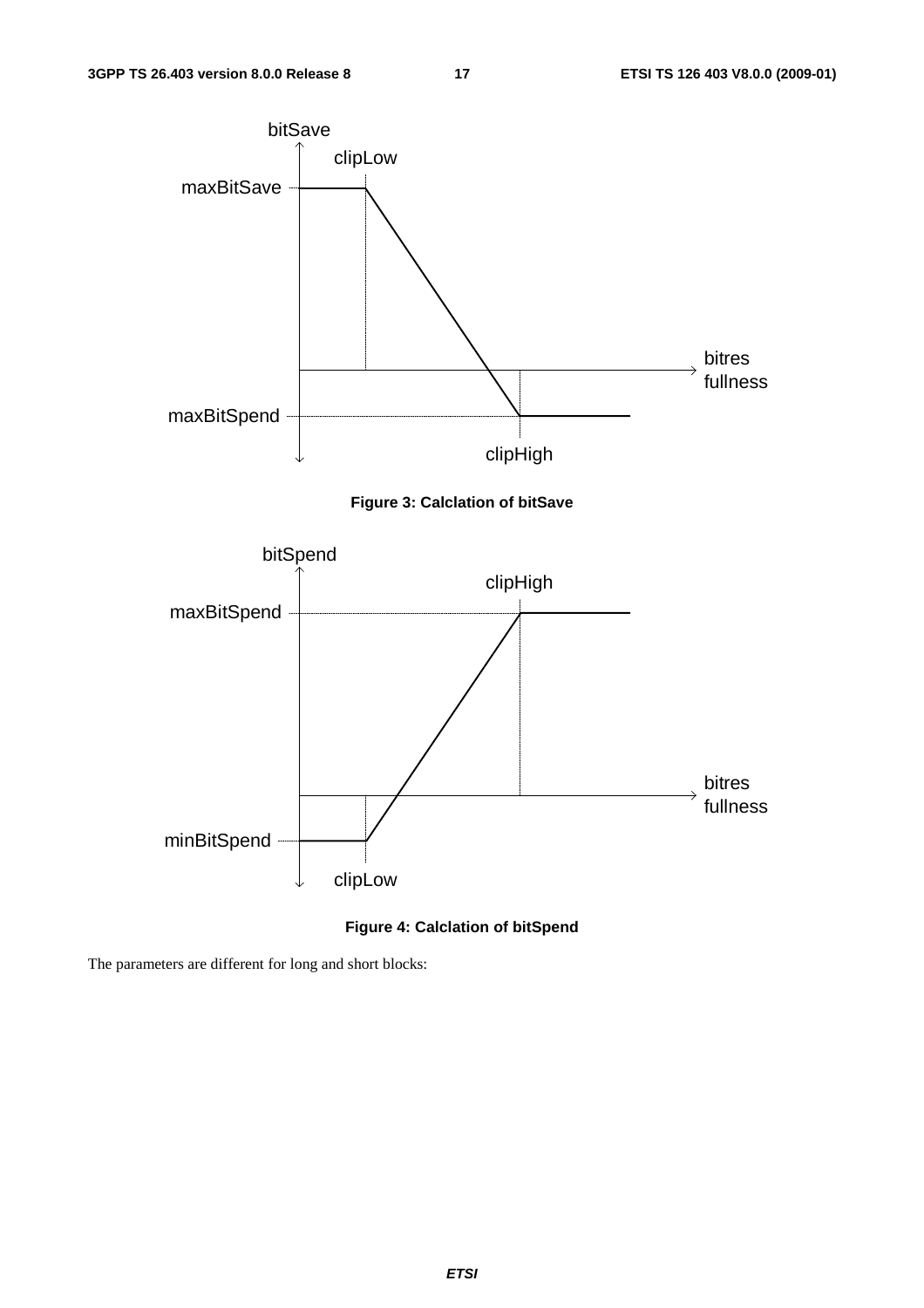

#### **Figure 4: Calclation of bitSpend**

The parameters are different for long and short blocks:

*ETSI*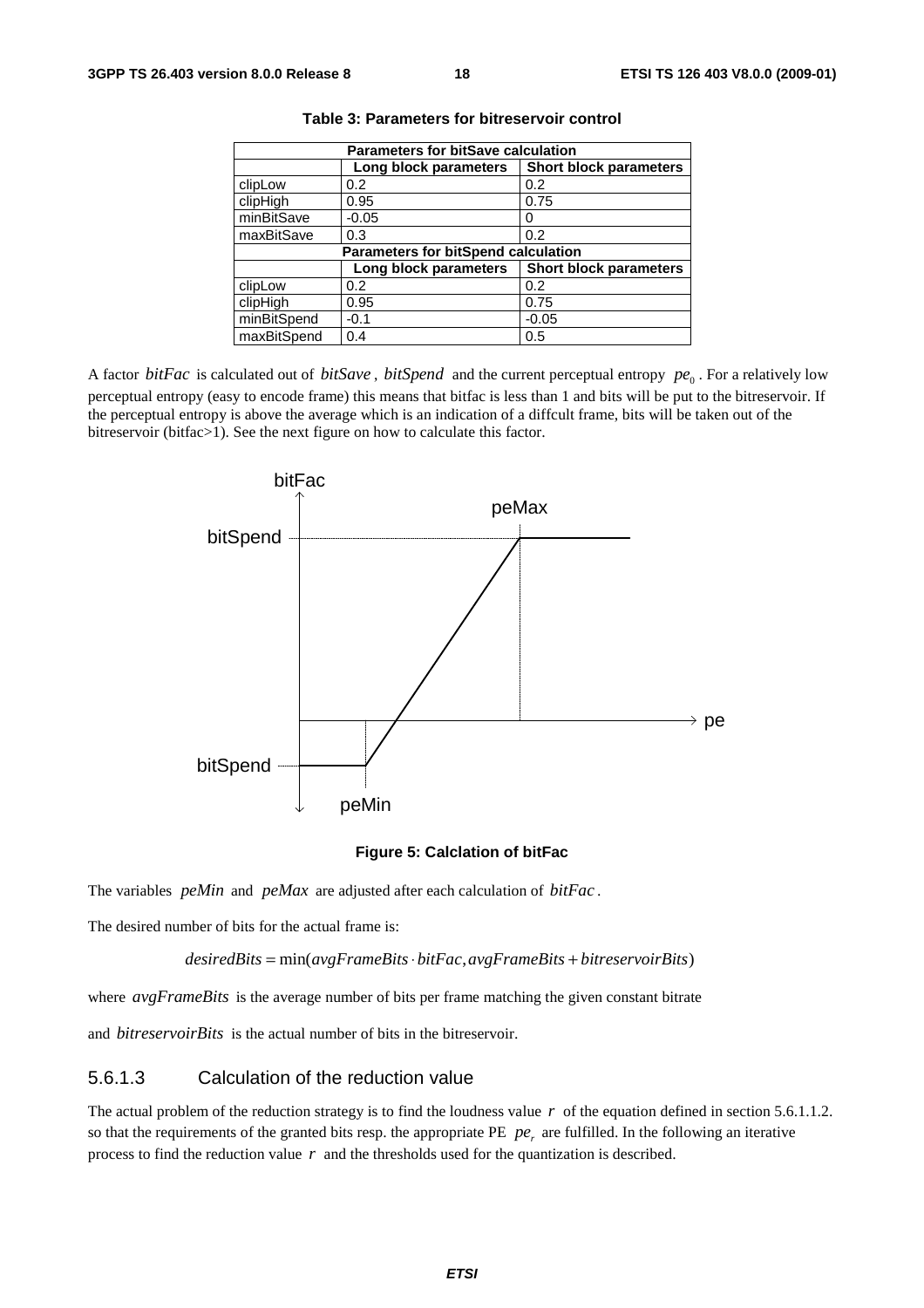| <b>Parameters for bitSave calculation</b> |                                            |                               |  |  |  |  |  |  |
|-------------------------------------------|--------------------------------------------|-------------------------------|--|--|--|--|--|--|
|                                           | Long block parameters                      | <b>Short block parameters</b> |  |  |  |  |  |  |
| clipLow                                   | 0.2                                        | 0.2                           |  |  |  |  |  |  |
| clipHigh                                  | 0.95                                       | 0.75                          |  |  |  |  |  |  |
| minBitSave                                | $-0.05$                                    | 0                             |  |  |  |  |  |  |
| maxBitSave                                | 0.3                                        | 0.2                           |  |  |  |  |  |  |
|                                           | <b>Parameters for bitSpend calculation</b> |                               |  |  |  |  |  |  |
|                                           | Long block parameters                      | <b>Short block parameters</b> |  |  |  |  |  |  |
| clipLow                                   | 0.2                                        | 0.2                           |  |  |  |  |  |  |
| clipHigh                                  | 0.95                                       | 0.75                          |  |  |  |  |  |  |
| minBitSpend                               | $-0.1$                                     | $-0.05$                       |  |  |  |  |  |  |
| maxBitSpend                               | 0.4                                        | 0.5                           |  |  |  |  |  |  |

**Table 3: Parameters for bitreservoir control** 

A factor *bitFac* is calculated out of *bitSave*, *bitSpend* and the current perceptual entropy  $pe_0$ . For a relatively low perceptual entropy (easy to encode frame) this means that bitfac is less than 1 and bits will be put to the bitreservoir. If the perceptual entropy is above the average which is an indication of a diffcult frame, bits will be taken out of the bitreservoir (bitfac>1). See the next figure on how to calculate this factor.



#### **Figure 5: Calclation of bitFac**

The variables *peMin* and *peMax* are adjusted after each calculation of *bitFac* .

The desired number of bits for the actual frame is:

 $desiredBits = min(avgFrameBits \cdot bitFac, avgFrameBits + bitreservoirBits)$ 

where *avgFrameBits* is the average number of bits per frame matching the given constant bitrate

and *bitreservoirBits* is the actual number of bits in the bitreservoir.

#### 5.6.1.3 Calculation of the reduction value

The actual problem of the reduction strategy is to find the loudness value *r* of the equation defined in section 5.6.1.1.2. so that the requirements of the granted bits resp. the appropriate PE  $pe<sub>r</sub>$  are fulfilled. In the following an iterative process to find the reduction value *r* and the thresholds used for the quantization is described.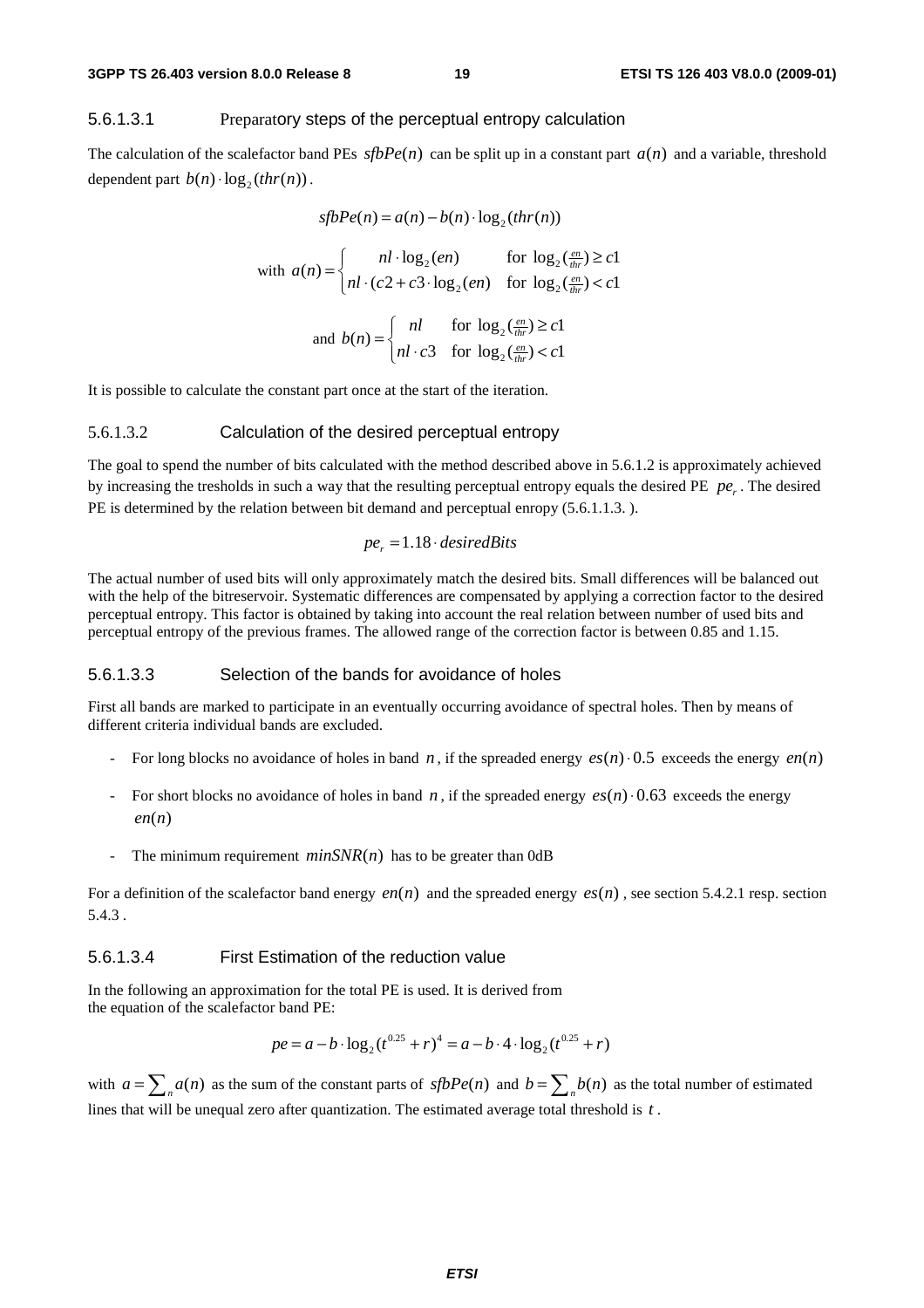#### 5.6.1.3.1 Preparatory steps of the perceptual entropy calculation

The calculation of the scalefactor band PEs  $sfbPe(n)$  can be split up in a constant part  $a(n)$  and a variable, threshold dependent part  $b(n) \cdot \log_2(thr(n))$ .

$$
sfbPe(n) = a(n) - b(n) \cdot \log_2(thr(n))
$$
  
with  $a(n) = \begin{cases} nl \cdot \log_2(en) & \text{for } \log_2(\frac{en}{thr}) \ge c1 \\ nl \cdot (c2 + c3 \cdot \log_2(en) & \text{for } \log_2(\frac{en}{thr}) < c1 \end{cases}$   
and  $b(n) = \begin{cases} nl & \text{for } \log_2(\frac{en}{thr}) \ge c1 \\ nl \cdot c3 & \text{for } \log_2(\frac{en}{thr}) < c1 \end{cases}$ 

and 
$$
b(n) = \begin{cases} nl & \text{for } \log_2(\frac{en}{thr}) \ge c1 \\ nl \cdot c3 & \text{for } \log_2(\frac{en}{thr}) < c1 \end{cases}
$$

It is possible to calculate the constant part once at the start of the iteration.

#### 5.6.1.3.2 Calculation of the desired perceptual entropy

The goal to spend the number of bits calculated with the method described above in 5.6.1.2 is approximately achieved by increasing the tresholds in such a way that the resulting perceptual entropy equals the desired PE *pe*. The desired PE is determined by the relation between bit demand and perceptual enropy  $(5.6.1.1.3. )$ .

$$
pe_r = 1.18 \cdot desiredBits
$$

The actual number of used bits will only approximately match the desired bits. Small differences will be balanced out with the help of the bitreservoir. Systematic differences are compensated by applying a correction factor to the desired perceptual entropy. This factor is obtained by taking into account the real relation between number of used bits and perceptual entropy of the previous frames. The allowed range of the correction factor is between 0.85 and 1.15.

#### 5.6.1.3.3 Selection of the bands for avoidance of holes

First all bands are marked to participate in an eventually occurring avoidance of spectral holes. Then by means of different criteria individual bands are excluded.

- For long blocks no avoidance of holes in band *n*, if the spreaded energy  $es(n) \cdot 0.5$  exceeds the energy  $en(n)$
- For short blocks no avoidance of holes in band *n*, if the spreaded energy  $es(n) \cdot 0.63$  exceeds the energy  $en(n)$
- The minimum requirement  $minSNR(n)$  has to be greater than 0dB

For a definition of the scalefactor band energy  $en(n)$  and the spreaded energy  $es(n)$ , see section 5.4.2.1 resp. section 5.4.3 .

#### 5.6.1.3.4 First Estimation of the reduction value

In the following an approximation for the total PE is used. It is derived from the equation of the scalefactor band PE:

$$
pe = a - b \cdot \log_2(t^{0.25} + r)^4 = a - b \cdot 4 \cdot \log_2(t^{0.25} + r)
$$

with  $a = \sum_{n=1}^{n} a(n)$  as the sum of the constant parts of  $sfbPe(n)$  and  $b = \sum_{n=1}^{n} b(n)$  as the total number of estimated lines that will be unequal zero after quantization. The estimated average total threshold is *t* .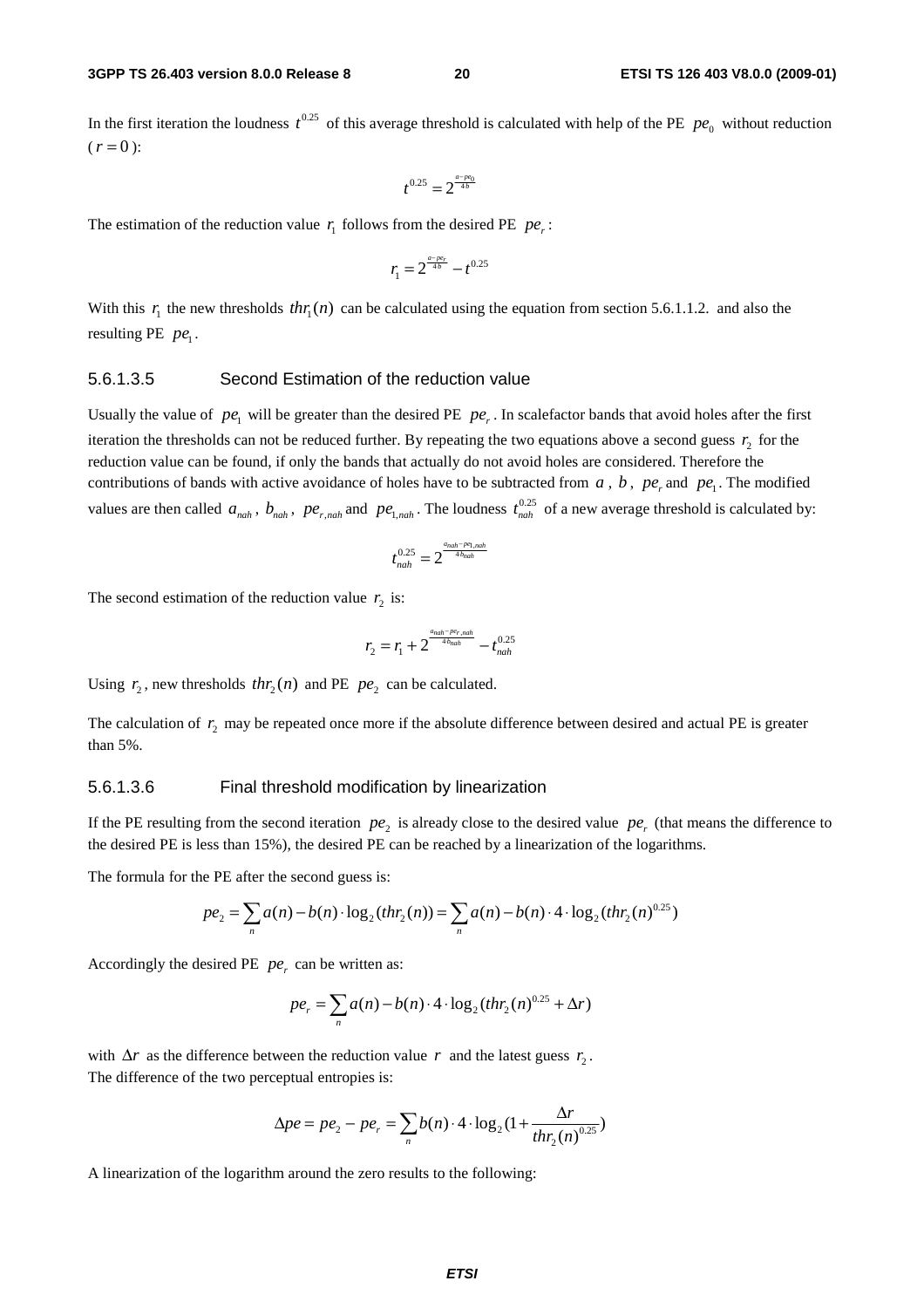In the first iteration the loudness  $t^{0.25}$  of this average threshold is calculated with help of the PE  $pe_0$  without reduction  $(r = 0)$ :

$$
t^{0.25}=2^{\frac{a-p e_0}{4b}}
$$

The estimation of the reduction value  $r_1$  follows from the desired PE  $pe_r$ :

$$
r_1 = 2^{\frac{a - p e_r}{4b}} - t^{0.25}
$$

With this  $r_1$  the new thresholds  $thr_1(n)$  can be calculated using the equation from section 5.6.1.1.2. and also the resulting PE  $pe_1$ .

#### 5.6.1.3.5 Second Estimation of the reduction value

Usually the value of  $pe_1$  will be greater than the desired PE  $pe_r$ . In scalefactor bands that avoid holes after the first iteration the thresholds can not be reduced further. By repeating the two equations above a second guess  $r<sub>2</sub>$  for the reduction value can be found, if only the bands that actually do not avoid holes are considered. Therefore the contributions of bands with active avoidance of holes have to be subtracted from  $a$ ,  $b$ ,  $pe$ <sub>r</sub> and  $pe_1$ . The modified values are then called  $a_{nah}$ ,  $b_{nah}$ ,  $pe_{r,nah}$  and  $pe_{1,nah}$ . The loudness  $t_{nah}^{0.25}$  of a new average threshold is calculated by:

$$
t_{nah}^{0.25} = 2^{\frac{a_{nah} - pe_{1,nah}}{4 \cdot b_{nah}}}
$$

The second estimation of the reduction value  $r<sub>2</sub>$  is:

$$
r_2 = r_1 + 2^{\frac{a_{nah} - p\epsilon_{r, nah}}{4b_{nah}}} - t_{nah}^{0.25}
$$

Using  $r_2$ , new thresholds  $thr_2(n)$  and PE  $pe_2$  can be calculated.

The calculation of  $r_2$  may be repeated once more if the absolute difference between desired and actual PE is greater than 5%.

#### 5.6.1.3.6 Final threshold modification by linearization

If the PE resulting from the second iteration  $pe_2$  is already close to the desired value  $pe_1$  (that means the difference to the desired PE is less than 15%), the desired PE can be reached by a linearization of the logarithms.

The formula for the PE after the second guess is:

$$
pe_2 = \sum_n a(n) - b(n) \cdot \log_2(thr_2(n)) = \sum_n a(n) - b(n) \cdot 4 \cdot \log_2(thr_2(n)^{0.25})
$$

Accordingly the desired PE  $pe_r$  can be written as:

$$
pe_r = \sum_n a(n) - b(n) \cdot 4 \cdot \log_2(thr_2(n)^{0.25} + \Delta r)
$$

with  $\Delta r$  as the difference between the reduction value *r* and the latest guess  $r_2$ . The difference of the two perceptual entropies is:

$$
\Delta pe = pe_2 - pe_r = \sum_n b(n) \cdot 4 \cdot \log_2(1 + \frac{\Delta r}{thr_2(n)^{0.25}})
$$

A linearization of the logarithm around the zero results to the following: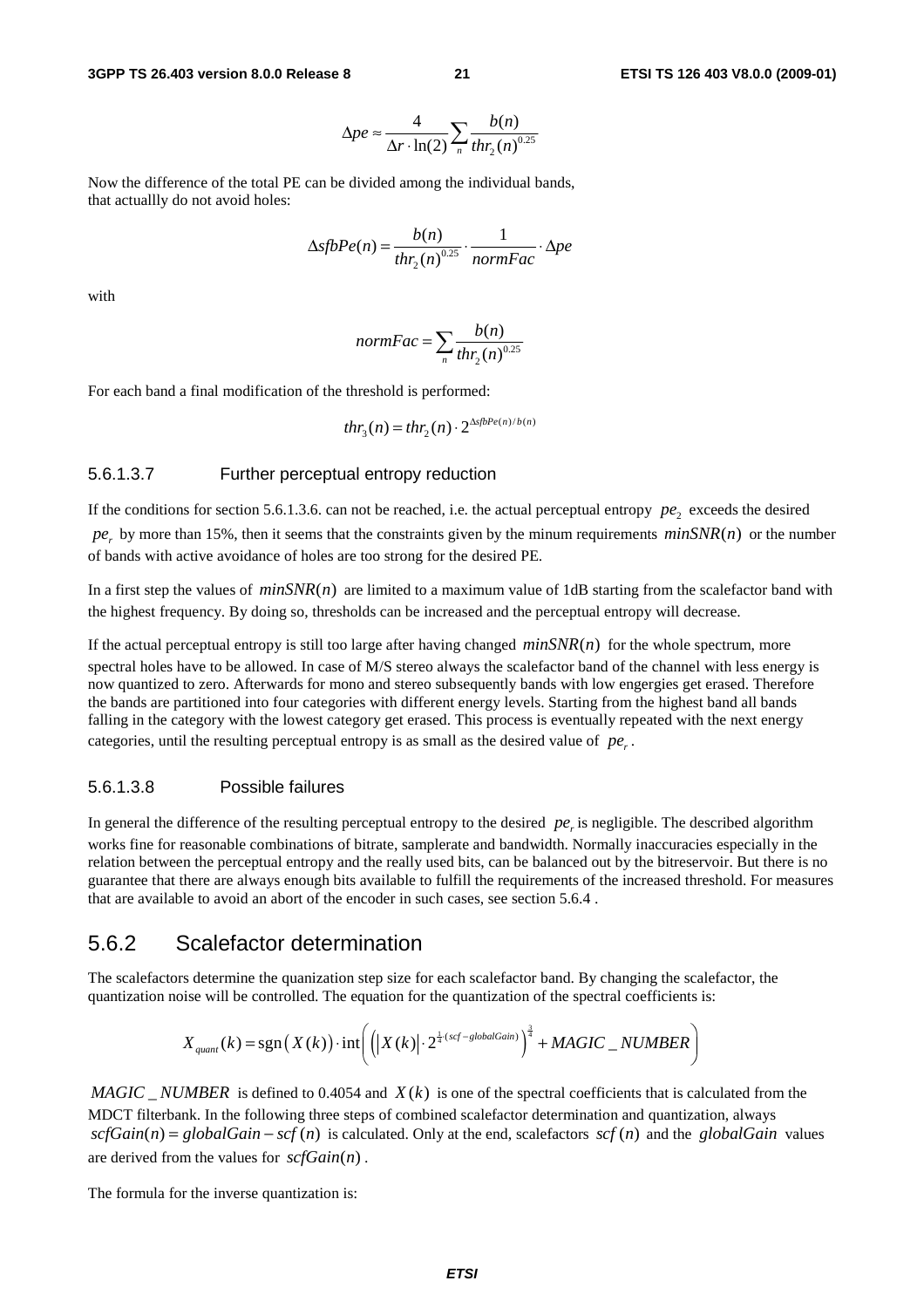$$
\Delta pe \approx \frac{4}{\Delta r \cdot \ln(2)} \sum_{n} \frac{b(n)}{thr_2(n)^{0.25}}
$$

Now the difference of the total PE can be divided among the individual bands, that actuallly do not avoid holes:

$$
\Delta sfbPe(n) = \frac{b(n)}{thr_2(n)^{0.25}} \cdot \frac{1}{normFac} \cdot \Delta pe
$$

with

$$
normFac = \sum_{n} \frac{b(n)}{thr_2(n)^{0.25}}
$$

For each band a final modification of the threshold is performed:

$$
thr_{3}(n) = thr_{2}(n) \cdot 2^{\Delta s\beta Pe(n)/b(n)}
$$

#### 5.6.1.3.7 Further perceptual entropy reduction

If the conditions for section 5.6.1.3.6. can not be reached, i.e. the actual perceptual entropy  $pe_1$ , exceeds the desired  $pe_r$  by more than 15%, then it seems that the constraints given by the minum requirements  $minSNR(n)$  or the number of bands with active avoidance of holes are too strong for the desired PE.

In a first step the values of  $minSNR(n)$  are limited to a maximum value of 1dB starting from the scalefactor band with the highest frequency. By doing so, thresholds can be increased and the perceptual entropy will decrease.

If the actual perceptual entropy is still too large after having changed  $minSNR(n)$  for the whole spectrum, more spectral holes have to be allowed. In case of M/S stereo always the scalefactor band of the channel with less energy is now quantized to zero. Afterwards for mono and stereo subsequently bands with low engergies get erased. Therefore the bands are partitioned into four categories with different energy levels. Starting from the highest band all bands falling in the category with the lowest category get erased. This process is eventually repeated with the next energy categories, until the resulting perceptual entropy is as small as the desired value of  $pe_{n}$ .

#### 5.6.1.3.8 Possible failures

In general the difference of the resulting perceptual entropy to the desired *pe*<sub>*i*</sub> is negligible. The described algorithm works fine for reasonable combinations of bitrate, samplerate and bandwidth. Normally inaccuracies especially in the relation between the perceptual entropy and the really used bits, can be balanced out by the bitreservoir. But there is no guarantee that there are always enough bits available to fulfill the requirements of the increased threshold. For measures that are available to avoid an abort of the encoder in such cases, see section 5.6.4 .

#### 5.6.2 Scalefactor determination

The scalefactors determine the quanization step size for each scalefactor band. By changing the scalefactor, the quantization noise will be controlled. The equation for the quantization of the spectral coefficients is:

$$
X_{quant}(k) = \text{sgn}\left(X(k)\right) \cdot \text{int}\left(\left|\left|X(k)\right| \cdot 2^{\frac{1}{4}\cdot (scf - globalGain)}\right)^{\frac{3}{4}} + MAGIC\_NUMBER\right)
$$

*MAGIC NUMBER* is defined to 0.4054 and  $X(k)$  is one of the spectral coefficients that is calculated from the MDCT filterbank. In the following three steps of combined scalefactor determination and quantization, always  $scfGain(n) = globalGain - scf(n)$  is calculated. Only at the end, scalefactors  $scf(n)$  and the *globalGain* values are derived from the values for  $\mathit{scfGain}(n)$ .

The formula for the inverse quantization is: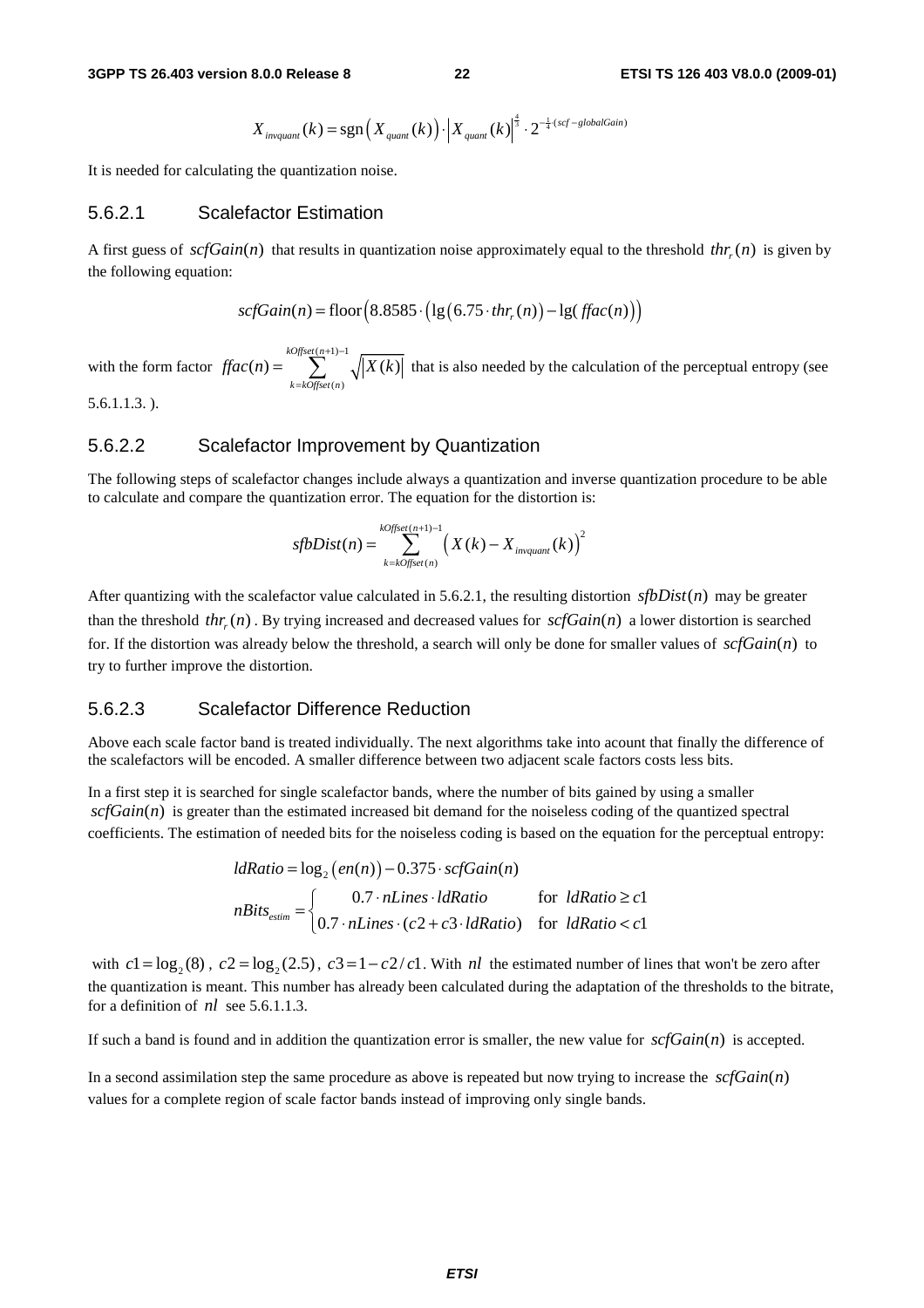$$
X_{\text{invquant}}(k) = \text{sgn}\left(X_{\text{quant}}(k)\right) \cdot \left|X_{\text{quant}}(k)\right|^{\frac{4}{3}} \cdot 2^{-\frac{1}{4}\cdot (scf -\text{globalGain})}
$$

It is needed for calculating the quantization noise.

#### 5.6.2.1 Scalefactor Estimation

A first guess of  $\text{scfGain}(n)$  that results in quantization noise approximately equal to the threshold  $\text{thr}(n)$  is given by the following equation:

$$
scfGain(n) = floor(8.8585 \cdot (lg(6.75 \cdot thr_r(n)) - lg(fac(n)))
$$

with the form factor  $(n+1) - 1$  $(n)$  $(n) = \sum_{k=1}^{\infty} \sqrt{X(k)}$ *kOffset n k kOffset n*  $\text{ffac}(n) = \sum_{x} \sqrt{|X(k)|}$ +1)−  $=\sum_{k=koffset(n)}^{\infty} \sqrt{|X(k)|}$  that is also needed by the calculation of the perceptual entropy (see 5.6.1.1.3. ).

#### 5.6.2.2 Scalefactor Improvement by Quantization

The following steps of scalefactor changes include always a quantization and inverse quantization procedure to be able to calculate and compare the quantization error. The equation for the distortion is:

$$
sfbDist(n) = \sum_{k = kOffset(n)}^{kOffset(n+1)-1} \left(X(k) - X_{invariant}(k)\right)^2
$$

After quantizing with the scalefactor value calculated in 5.6.2.1, the resulting distortion  $s\{bDist(n)\}$  may be greater than the threshold  $thr(x)$ . By trying increased and decreased values for  $scfGain(n)$  a lower distortion is searched for. If the distortion was already below the threshold, a search will only be done for smaller values of  $scfGain(n)$  to try to further improve the distortion.

#### 5.6.2.3 Scalefactor Difference Reduction

Above each scale factor band is treated individually. The next algorithms take into acount that finally the difference of the scalefactors will be encoded. A smaller difference between two adjacent scale factors costs less bits.

In a first step it is searched for single scalefactor bands, where the number of bits gained by using a smaller  $scfGain(n)$  is greater than the estimated increased bit demand for the noiseless coding of the quantized spectral coefficients. The estimation of needed bits for the noiseless coding is based on the equation for the perceptual entropy:

$$
ldRatio = \log_2(en(n)) - 0.375 \cdot scfGain(n)
$$
\n
$$
nBits_{estim} = \n\begin{cases}\n0.7 \cdot nLines \cdot l dRatio & \text{for} \quad l dRatio \ge c1 \\
0.7 \cdot nLines \cdot (c2 + c3 \cdot l dRatio) & \text{for} \quad l dRatio < c1\n\end{cases}
$$

with  $c1 = \log_2(8)$ ,  $c2 = \log_2(2.5)$ ,  $c3 = 1 - c2/c1$ . With *nl* the estimated number of lines that won't be zero after the quantization is meant. This number has already been calculated during the adaptation of the thresholds to the bitrate, for a definition of *nl* see 5.6.1.1.3.

If such a band is found and in addition the quantization error is smaller, the new value for  $\mathcal{S}\mathcal{C}\mathcal{G}\mathcal{C}\mathcal{C}$  is accepted.

In a second assimilation step the same procedure as above is repeated but now trying to increase the  $\mathcal{S}\mathcal{C}\mathcal{G}\mathcal{C}\mathcal{C}$ values for a complete region of scale factor bands instead of improving only single bands.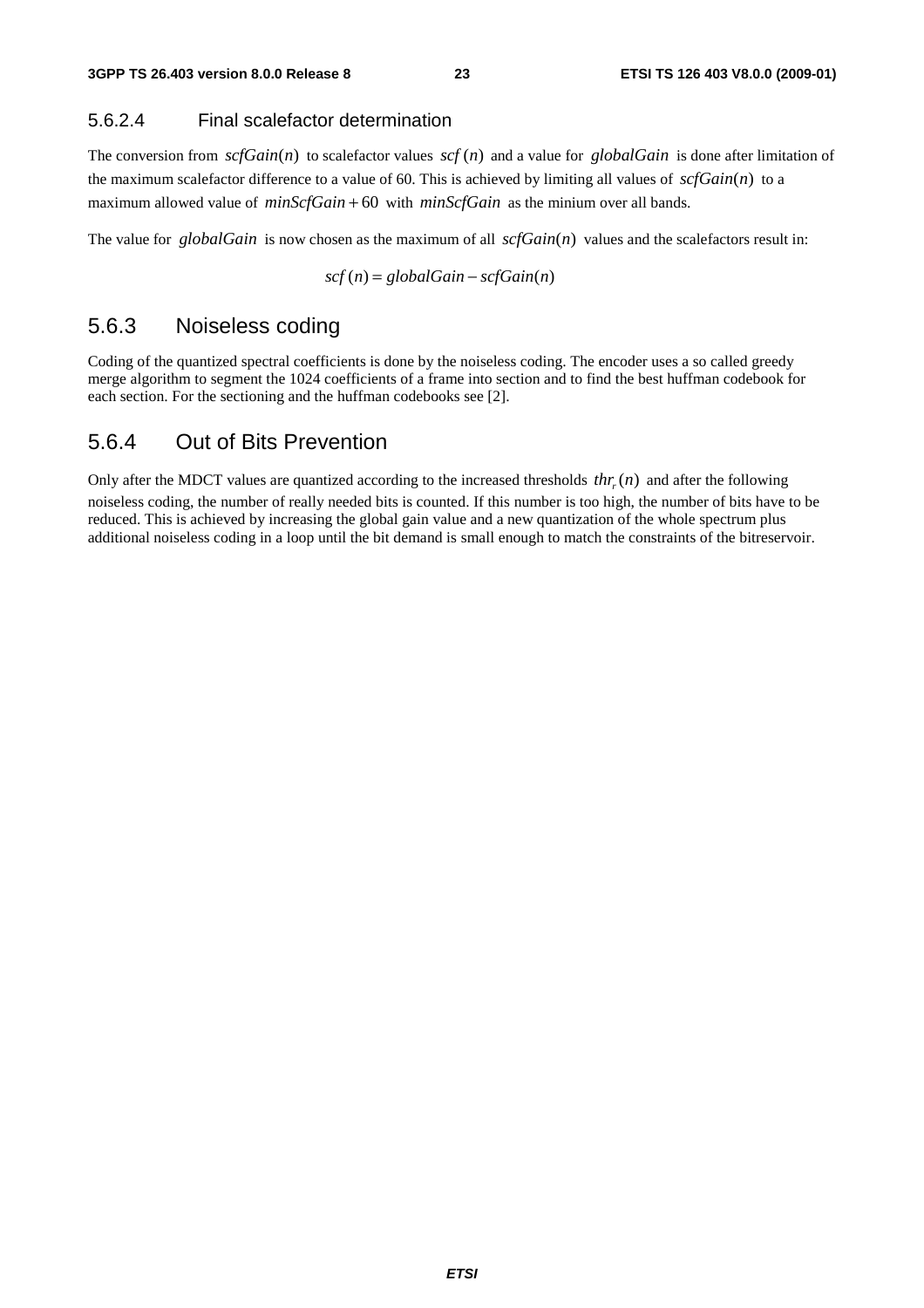#### 5.6.2.4 Final scalefactor determination

The conversion from  $\text{scfGain}(n)$  to scalefactor values  $\text{scf}(n)$  and a value for *globalGain* is done after limitation of the maximum scalefactor difference to a value of 60. This is achieved by limiting all values of  $\mathcal{SC}Gain(n)$  to a maximum allowed value of *minScfGain* + 60 with *minScfGain* as the minium over all bands.

The value for *globalGain* is now chosen as the maximum of all  $\text{scfGain}(n)$  values and the scalefactors result in:

$$
scf(n) = globalGain - scfGain(n)
$$

#### 5.6.3 Noiseless coding

Coding of the quantized spectral coefficients is done by the noiseless coding. The encoder uses a so called greedy merge algorithm to segment the 1024 coefficients of a frame into section and to find the best huffman codebook for each section. For the sectioning and the huffman codebooks see [2].

#### 5.6.4 Out of Bits Prevention

Only after the MDCT values are quantized according to the increased thresholds  $thr(n)$  and after the following noiseless coding, the number of really needed bits is counted. If this number is too high, the number of bits have to be reduced. This is achieved by increasing the global gain value and a new quantization of the whole spectrum plus additional noiseless coding in a loop until the bit demand is small enough to match the constraints of the bitreservoir.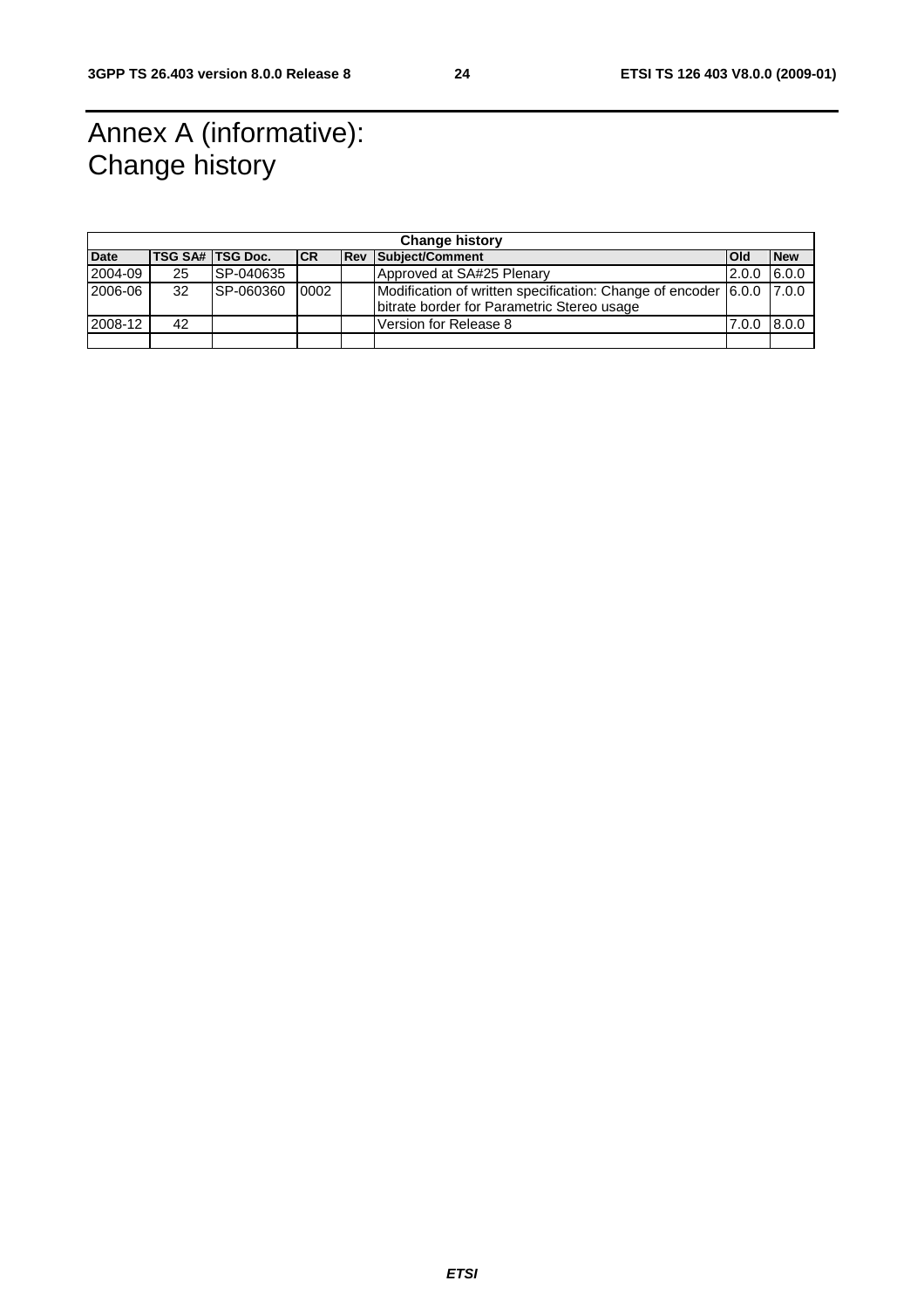### Annex A (informative): Change history

|             | <b>Change history</b> |                  |           |  |                                                                      |               |            |  |  |
|-------------|-----------------------|------------------|-----------|--|----------------------------------------------------------------------|---------------|------------|--|--|
| <b>Date</b> |                       | TSG SA# TSG Doc. | <b>CR</b> |  | <b>Rev Subject/Comment</b>                                           | <b>Old</b>    | <b>New</b> |  |  |
| 2004-09     | 25                    | <b>SP-040635</b> |           |  | Approved at SA#25 Plenary                                            | $2.0.0$ 6.0.0 |            |  |  |
| 2006-06     | 32                    | ISP-060360       | 0002      |  | Modification of written specification: Change of encoder 6.0.0 7.0.0 |               |            |  |  |
|             |                       |                  |           |  | Ibitrate border for Parametric Stereo usage                          |               |            |  |  |
| 2008-12     | 42                    |                  |           |  | Version for Release 8                                                | 7.0.0 8.0.0   |            |  |  |
|             |                       |                  |           |  |                                                                      |               |            |  |  |